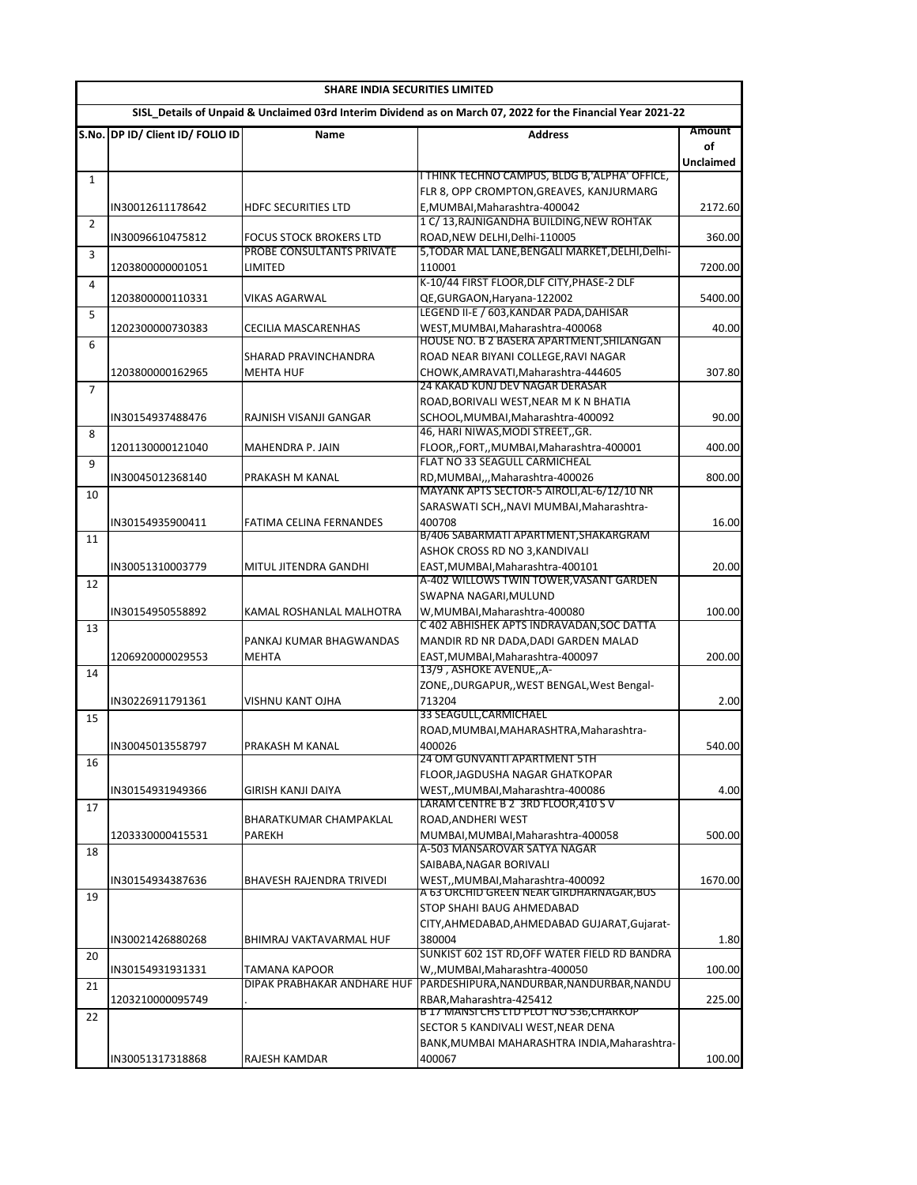|                | SHARE INDIA SECURITIES LIMITED   |                                              |                                                                                                              |                  |  |
|----------------|----------------------------------|----------------------------------------------|--------------------------------------------------------------------------------------------------------------|------------------|--|
|                |                                  |                                              | SISL Details of Unpaid & Unclaimed 03rd Interim Dividend as on March 07, 2022 for the Financial Year 2021-22 |                  |  |
|                | S.No. DP ID/ Client ID/ FOLIO ID | Name                                         | <b>Address</b>                                                                                               | Amount           |  |
|                |                                  |                                              |                                                                                                              | οf               |  |
|                |                                  |                                              | <u>I THINK TECHNO CAMPUS, BLDG B, ALPHA' OFFICE,</u>                                                         | <b>Unclaimed</b> |  |
| 1              |                                  |                                              | FLR 8, OPP CROMPTON, GREAVES, KANJURMARG                                                                     |                  |  |
|                | IN30012611178642                 | <b>HDFC SECURITIES LTD</b>                   | E, MUMBAI, Maharashtra-400042                                                                                | 2172.60          |  |
| 2              |                                  |                                              | 1 C/ 13, RAJNIGANDHA BUILDING, NEW ROHTAK                                                                    |                  |  |
|                | IN30096610475812                 | <b>FOCUS STOCK BROKERS LTD</b>               | ROAD.NEW DELHI.Delhi-110005                                                                                  | 360.00           |  |
| 3              |                                  | PROBE CONSULTANTS PRIVATE                    | 5, TODAR MAL LANE, BENGALI MARKET, DELHI, Delhi-                                                             |                  |  |
|                | 1203800000001051                 | LIMITED                                      | 110001<br>K-10/44 FIRST FLOOR, DLF CITY, PHASE-2 DLF                                                         | 7200.00          |  |
| 4              | 1203800000110331                 | VIKAS AGARWAL                                | QE,GURGAON,Haryana-122002                                                                                    | 5400.00          |  |
| 5              |                                  |                                              | LEGEND II-E / 603, KANDAR PADA, DAHISAR                                                                      |                  |  |
|                | 1202300000730383                 | CECILIA MASCARENHAS                          | WEST, MUMBAI, Maharashtra-400068                                                                             | 40.00            |  |
| 6              |                                  |                                              | HOUSE NO. B 2 BASERA APARTMENT, SHILANGAN                                                                    |                  |  |
|                |                                  | SHARAD PRAVINCHANDRA                         | ROAD NEAR BIYANI COLLEGE, RAVI NAGAR                                                                         |                  |  |
|                | 1203800000162965                 | <b>MEHTA HUF</b>                             | CHOWK, AMRAVATI, Maharashtra-444605<br>24 KAKAD KUNJ DEV NAGAR DERASAR                                       | 307.80           |  |
| $\overline{7}$ |                                  |                                              | ROAD, BORIVALI WEST, NEAR M K N BHATIA                                                                       |                  |  |
|                | IN30154937488476                 | RAJNISH VISANJI GANGAR                       | SCHOOL, MUMBAI, Maharashtra-400092                                                                           | 90.00            |  |
| 8              |                                  |                                              | 46, HARI NIWAS, MODI STREET, GR.                                                                             |                  |  |
|                | 1201130000121040                 | MAHENDRA P. JAIN                             | FLOOR, FORT, MUMBAI, Maharashtra-400001                                                                      | 400.00           |  |
| 9              |                                  |                                              | FLAT NO 33 SEAGULL CARMICHEAL                                                                                |                  |  |
|                | IN30045012368140                 | PRAKASH M KANAL                              | RD, MUMBAI, , , Maharashtra-400026                                                                           | 800.00           |  |
| 10             |                                  |                                              | MAYANK APTS SECTOR-5 AIROLI, AL-6/12/10 NR                                                                   |                  |  |
|                |                                  |                                              | SARASWATI SCH,, NAVI MUMBAI, Maharashtra-<br>400708                                                          | 16.00            |  |
| 11             | IN30154935900411                 | FATIMA CELINA FERNANDES                      | B/406 SABARMATI APARTMENT, SHAKARGRAM                                                                        |                  |  |
|                |                                  |                                              | ASHOK CROSS RD NO 3, KANDIVALI                                                                               |                  |  |
|                | IN30051310003779                 | MITUL JITENDRA GANDHI                        | EAST, MUMBAI, Maharashtra-400101                                                                             | 20.00            |  |
| 12             |                                  |                                              | A-402 WILLOWS TWIN TOWER,VASANT GARDEN                                                                       |                  |  |
|                |                                  |                                              | SWAPNA NAGARI, MULUND                                                                                        |                  |  |
|                | IN30154950558892                 | KAMAL ROSHANLAL MALHOTRA                     | W, MUMBAI, Maharashtra-400080<br>C 402 ABHISHEK APTS INDRAVADAN, SOC DATTA                                   | 100.00           |  |
| 13             |                                  | PANKAJ KUMAR BHAGWANDAS                      | MANDIR RD NR DADA, DADI GARDEN MALAD                                                                         |                  |  |
|                | 1206920000029553                 | <b>MEHTA</b>                                 | EAST, MUMBAI, Maharashtra-400097                                                                             | 200.00           |  |
| 14             |                                  |                                              | 13/9, ASHOKE AVENUE,, A-                                                                                     |                  |  |
|                |                                  |                                              | ZONE,, DURGAPUR,, WEST BENGAL, West Bengal-                                                                  |                  |  |
|                | IN30226911791361                 | VISHNU KANT OJHA                             | 713204                                                                                                       | 2.00             |  |
| 15             |                                  |                                              | 33 SEAGULL, CARMICHAEL                                                                                       |                  |  |
|                |                                  |                                              | ROAD, MUMBAI, MAHARASHTRA, Maharashtra-                                                                      |                  |  |
|                | IN30045013558797                 | PRAKASH M KANAL                              | 400026<br>24 OM GUNVANTI APARTMENT 5TH                                                                       | 540.00           |  |
| 16             |                                  |                                              | FLOOR, JAGDUSHA NAGAR GHATKOPAR                                                                              |                  |  |
|                | IN30154931949366                 | GIRISH KANJI DAIYA                           | WEST,, MUMBAI, Maharashtra-400086                                                                            | 4.00             |  |
| 17             |                                  |                                              | LARAM CENTRE B 2 3RD FLOOR, 410 S V                                                                          |                  |  |
|                |                                  | BHARATKUMAR CHAMPAKLAL                       | ROAD, ANDHERI WEST                                                                                           |                  |  |
|                | 1203330000415531                 | PAREKH                                       | MUMBAI, MUMBAI, Maharashtra-400058<br>A-503 MANSAROVAR SATYA NAGAR                                           | 500.00           |  |
| 18             |                                  |                                              | SAIBABA, NAGAR BORIVALI                                                                                      |                  |  |
|                | IN30154934387636                 | BHAVESH RAJENDRA TRIVEDI                     | WEST,, MUMBAI, Maharashtra-400092                                                                            | 1670.00          |  |
| 19             |                                  |                                              | A 63 ORCHID GREEN NEAR GIRDHARNAGAR,BUS                                                                      |                  |  |
|                |                                  |                                              | STOP SHAHI BAUG AHMEDABAD                                                                                    |                  |  |
|                |                                  |                                              | CITY, AHMEDABAD, AHMEDABAD GUJARAT, Gujarat-                                                                 |                  |  |
|                | IN30021426880268                 | BHIMRAJ VAKTAVARMAL HUF                      | 380004                                                                                                       | 1.80             |  |
| 20             |                                  |                                              | SUNKIST 602 1ST RD, OFF WATER FIELD RD BANDRA                                                                |                  |  |
|                | IN30154931931331                 | TAMANA KAPOOR<br>DIPAK PRABHAKAR ANDHARE HUF | W,,MUMBAI,Maharashtra-400050<br>PARDESHIPURA, NANDURBAR, NANDURBAR, NANDU                                    | 100.00           |  |
| 21             | 1203210000095749                 |                                              | RBAR, Maharashtra-425412                                                                                     | 225.00           |  |
| 22             |                                  |                                              | B 17 MANSI CHS LTD PLOT NO 536,CHARKOP                                                                       |                  |  |
|                |                                  |                                              | SECTOR 5 KANDIVALI WEST, NEAR DENA                                                                           |                  |  |
|                |                                  |                                              | BANK, MUMBAI MAHARASHTRA INDIA, Maharashtra-                                                                 |                  |  |
|                | IN30051317318868                 | RAJESH KAMDAR                                | 400067                                                                                                       | 100.00           |  |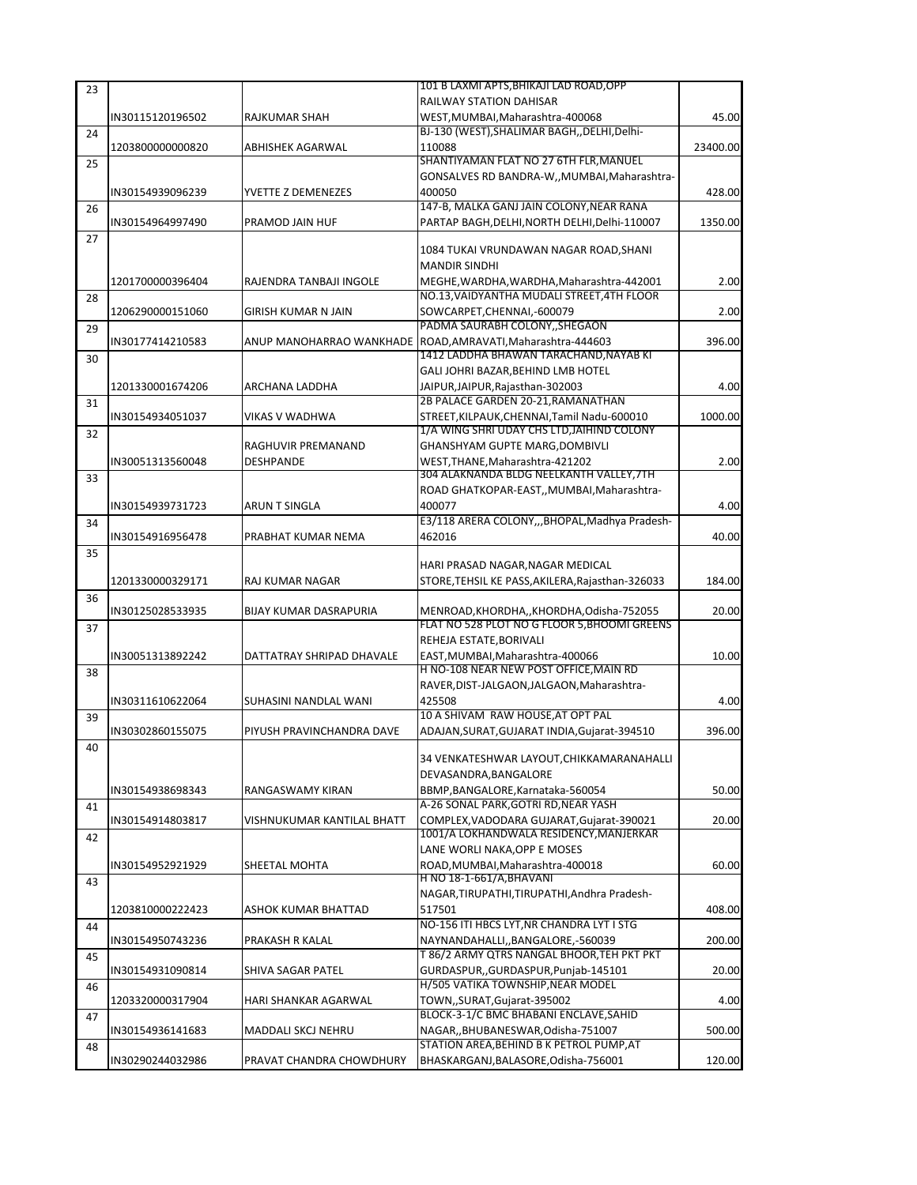| 23 |                  |                               | 101 B LAXMI APTS, BHIKAJI LAD ROAD, OPP                                                 |          |
|----|------------------|-------------------------------|-----------------------------------------------------------------------------------------|----------|
|    |                  |                               | <b>RAILWAY STATION DAHISAR</b>                                                          |          |
|    | IN30115120196502 | RAJKUMAR SHAH                 | WEST, MUMBAI, Maharashtra-400068                                                        | 45.00    |
| 24 |                  |                               | BJ-130 (WEST), SHALIMAR BAGH, , DELHI, Delhi-                                           |          |
|    | 1203800000000820 | ABHISHEK AGARWAL              | 110088                                                                                  | 23400.00 |
| 25 |                  |                               | SHANTIYAMAN FLAT NO 27 6TH FLR, MANUEL                                                  |          |
|    |                  |                               | GONSALVES RD BANDRA-W,, MUMBAI, Maharashtra-                                            |          |
|    | IN30154939096239 | YVETTE Z DEMENEZES            | 400050                                                                                  | 428.00   |
| 26 |                  |                               | 147-B, MALKA GANJ JAIN COLONY, NEAR RANA                                                |          |
|    | IN30154964997490 | PRAMOD JAIN HUF               | PARTAP BAGH, DELHI, NORTH DELHI, Delhi-110007                                           | 1350.00  |
| 27 |                  |                               |                                                                                         |          |
|    |                  |                               | 1084 TUKAI VRUNDAWAN NAGAR ROAD, SHANI                                                  |          |
|    |                  |                               | <b>MANDIR SINDHI</b>                                                                    |          |
|    | 1201700000396404 | RAJENDRA TANBAJI INGOLE       | MEGHE, WARDHA, WARDHA, Maharashtra-442001<br>NO.13, VAIDYANTHA MUDALI STREET, 4TH FLOOR | 2.00     |
| 28 |                  |                               |                                                                                         |          |
|    | 1206290000151060 | GIRISH KUMAR N JAIN           | SOWCARPET, CHENNAI, -600079<br>PADMA SAURABH COLONY, SHEGAON                            | 2.00     |
| 29 | IN30177414210583 |                               | ANUP MANOHARRAO WANKHADE ROAD, AMRAVATI, Maharashtra-444603                             | 396.00   |
|    |                  |                               | 1412 LADDHA BHAWAN TARACHAND, NAYAB KI                                                  |          |
| 30 |                  |                               | GALI JOHRI BAZAR, BEHIND LMB HOTEL                                                      |          |
|    | 1201330001674206 | ARCHANA LADDHA                | JAIPUR, JAIPUR, Rajasthan-302003                                                        | 4.00     |
| 31 |                  |                               | 2B PALACE GARDEN 20-21, RAMANATHAN                                                      |          |
|    | IN30154934051037 | VIKAS V WADHWA                | STREET, KILPAUK, CHENNAI, Tamil Nadu-600010                                             | 1000.00  |
| 32 |                  |                               | 1/A WING SHRI UDAY CHS LTD, JAIHIND COLONY                                              |          |
|    |                  | RAGHUVIR PREMANAND            | GHANSHYAM GUPTE MARG, DOMBIVLI                                                          |          |
|    | IN30051313560048 | DESHPANDE                     | WEST, THANE, Maharashtra-421202                                                         | 2.00     |
| 33 |                  |                               | 304 ALAKNANDA BLDG NEELKANTH VALLEY, 7TH                                                |          |
|    |                  |                               | ROAD GHATKOPAR-EAST, MUMBAI Maharashtra-                                                |          |
|    | IN30154939731723 | ARUN T SINGLA                 | 400077                                                                                  | 4.00     |
| 34 |                  |                               | E3/118 ARERA COLONY,,,BHOPAL,Madhya Pradesh-                                            |          |
|    | IN30154916956478 | PRABHAT KUMAR NEMA            | 462016                                                                                  | 40.00    |
| 35 |                  |                               |                                                                                         |          |
|    |                  |                               | HARI PRASAD NAGAR, NAGAR MEDICAL                                                        |          |
|    | 1201330000329171 | RAJ KUMAR NAGAR               | STORE, TEHSIL KE PASS, AKILERA, Rajasthan-326033                                        | 184.00   |
| 36 |                  |                               |                                                                                         |          |
|    | IN30125028533935 | <b>BIJAY KUMAR DASRAPURIA</b> | MENROAD, KHORDHA, , KHORDHA, Odisha-752055                                              | 20.00    |
| 37 |                  |                               | FLAT NO 528 PLOT NO G FLOOR 5, BHOOMI GREENS                                            |          |
|    |                  |                               | REHEJA ESTATE, BORIVALI                                                                 |          |
|    | IN30051313892242 | DATTATRAY SHRIPAD DHAVALE     | EAST, MUMBAI, Maharashtra-400066<br>H NO-108 NEAR NEW POST OFFICE, MAIN RD              | 10.00    |
| 38 |                  |                               | RAVER, DIST-JALGAON, JALGAON, Maharashtra-                                              |          |
|    |                  | SUHASINI NANDLAL WANI         | 425508                                                                                  | 4.00     |
|    | IN30311610622064 |                               | 10 A SHIVAM RAW HOUSE.AT OPT PAL                                                        |          |
| 39 | IN30302860155075 | PIYUSH PRAVINCHANDRA DAVE     | ADAJAN, SURAT, GUJARAT INDIA, Gujarat-394510                                            | 396.00   |
|    |                  |                               |                                                                                         |          |
| 40 |                  |                               | 34 VENKATESHWAR LAYOUT, CHIKKAMARANAHALLI                                               |          |
|    |                  |                               | DEVASANDRA, BANGALORE                                                                   |          |
|    | IN30154938698343 | RANGASWAMY KIRAN              | BBMP, BANGALORE, Karnataka-560054                                                       | 50.00    |
| 41 |                  |                               | A-26 SONAL PARK, GOTRI RD, NEAR YASH                                                    |          |
|    | IN30154914803817 | VISHNUKUMAR KANTILAL BHATT    | COMPLEX, VADODARA GUJARAT, Gujarat-390021                                               | 20.00    |
| 42 |                  |                               | 1001/A LOKHANDWALA RESIDENCY, MANJERKAR                                                 |          |
|    |                  |                               | LANE WORLI NAKA, OPP E MOSES                                                            |          |
|    | IN30154952921929 | SHEETAL MOHTA                 | ROAD.MUMBAI.Maharashtra-400018                                                          | 60.00    |
| 43 |                  |                               | <u>H NO 18-1-661/A,BHAVANI</u>                                                          |          |
|    |                  |                               | NAGAR, TIRUPATHI, TIRUPATHI, Andhra Pradesh-                                            |          |
|    | 1203810000222423 | ASHOK KUMAR BHATTAD           | 517501                                                                                  | 408.00   |
| 44 |                  |                               | NO-156 ITI HBCS LYT, NR CHANDRA LYT I STG                                               |          |
|    | IN30154950743236 | PRAKASH R KALAL               | NAYNANDAHALLI,,BANGALORE,-560039                                                        | 200.00   |
| 45 |                  |                               | T 86/2 ARMY QTRS NANGAL BHOOR, TEH PKT PKT                                              |          |
|    | IN30154931090814 | SHIVA SAGAR PATEL             | GURDASPUR,, GURDASPUR, Punjab-145101                                                    | 20.00    |
| 46 |                  |                               | H/505 VATIKA TOWNSHIP, NEAR MODEL                                                       |          |
|    | 1203320000317904 | HARI SHANKAR AGARWAL          | TOWN,,SURAT,Gujarat-395002                                                              | 4.00     |
| 47 |                  |                               | BLOCK-3-1/C BMC BHABANI ENCLAVE, SAHID                                                  |          |
|    | IN30154936141683 | MADDALI SKCJ NEHRU            | NAGAR,, BHUBANESWAR, Odisha-751007                                                      | 500.00   |
| 48 |                  |                               | STATION AREA, BEHIND B K PETROL PUMP, AT                                                |          |
|    | IN30290244032986 | PRAVAT CHANDRA CHOWDHURY      | BHASKARGANJ, BALASORE, Odisha-756001                                                    | 120.00   |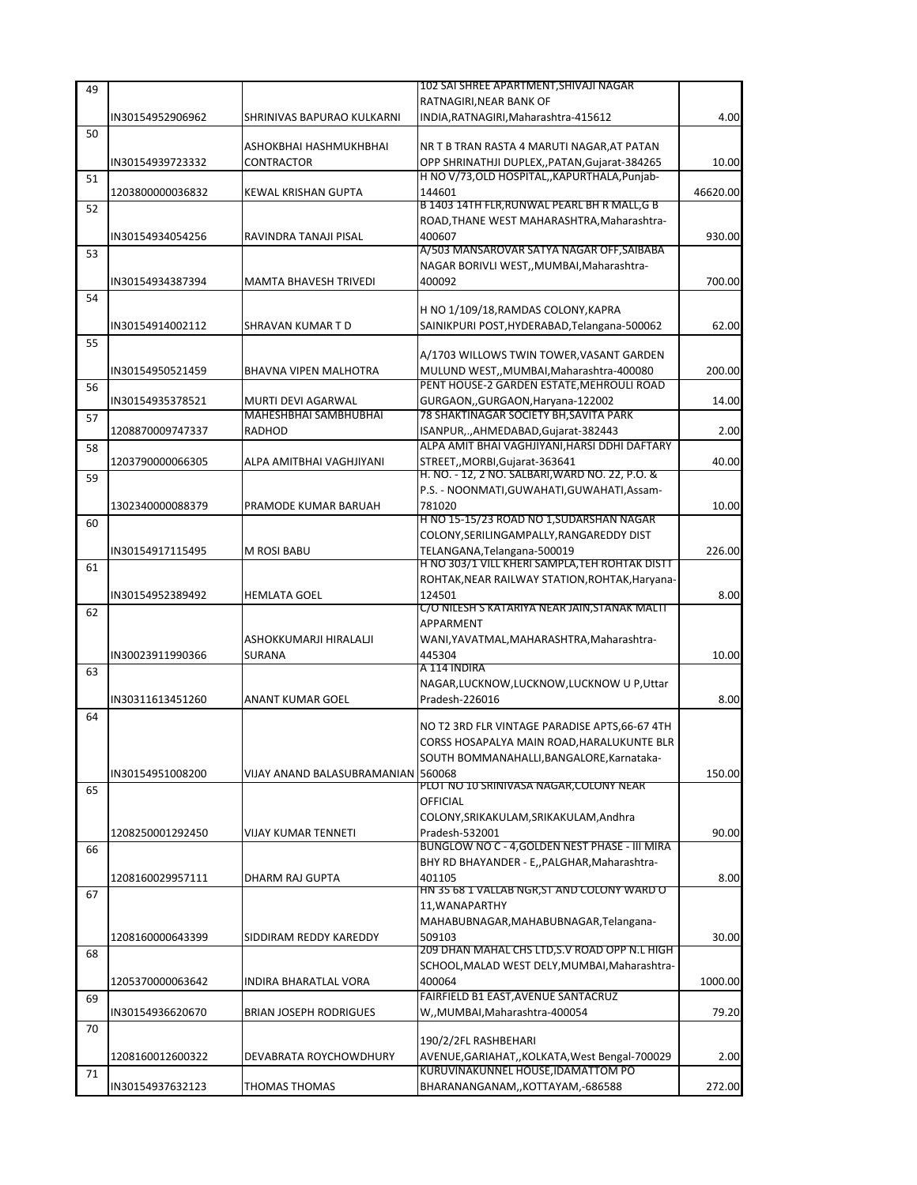| 49 |                  |                                             | 102 SAI SHREE APARTMENT, SHIVAJI NAGAR                                     |          |
|----|------------------|---------------------------------------------|----------------------------------------------------------------------------|----------|
|    | IN30154952906962 | SHRINIVAS BAPURAO KULKARNI                  | RATNAGIRI, NEAR BANK OF<br>INDIA, RATNAGIRI, Maharashtra-415612            | 4.00     |
| 50 |                  |                                             |                                                                            |          |
|    |                  | ASHOKBHAI HASHMUKHBHAI                      | NR T B TRAN RASTA 4 MARUTI NAGAR, AT PATAN                                 |          |
|    | IN30154939723332 | <b>CONTRACTOR</b>                           | OPP SHRINATHJI DUPLEX,, PATAN, Gujarat-384265                              | 10.00    |
| 51 |                  |                                             | H NO V/73, OLD HOSPITAL, , KAPURTHALA, Punjab-                             |          |
|    | 1203800000036832 | KEWAL KRISHAN GUPTA                         | 144601<br>B 1403 14TH FLR, RUNWAL PEARL BH R MALL, G B                     | 46620.00 |
| 52 |                  |                                             | ROAD, THANE WEST MAHARASHTRA, Maharashtra-                                 |          |
|    | IN30154934054256 | RAVINDRA TANAJI PISAL                       | 400607                                                                     | 930.00   |
| 53 |                  |                                             | A/503 MANSAROVAR SATYA NAGAR OFF, SAIBABA                                  |          |
|    |                  |                                             | NAGAR BORIVLI WEST,, MUMBAI, Maharashtra-                                  |          |
|    | IN30154934387394 | <b>MAMTA BHAVESH TRIVEDI</b>                | 400092                                                                     | 700.00   |
| 54 |                  |                                             | H NO 1/109/18, RAMDAS COLONY, KAPRA                                        |          |
|    | IN30154914002112 | SHRAVAN KUMAR T D                           | SAINIKPURI POST, HYDERABAD, Telangana-500062                               | 62.00    |
| 55 |                  |                                             |                                                                            |          |
|    |                  |                                             | A/1703 WILLOWS TWIN TOWER, VASANT GARDEN                                   |          |
|    | IN30154950521459 | BHAVNA VIPEN MALHOTRA                       | MULUND WEST,, MUMBAI, Maharashtra-400080                                   | 200.00   |
| 56 |                  |                                             | PENT HOUSE-2 GARDEN ESTATE, MEHROULI ROAD                                  |          |
|    | IN30154935378521 | MURTI DEVI AGARWAL<br>MAHESHBHAI SAMBHUBHAI | GURGAON, GURGAON, Haryana-122002<br>78 SHAKTINAGAR SOCIETY BH, SAVITA PARK | 14.00    |
| 57 | 1208870009747337 | RADHOD                                      | ISANPUR,., AHMEDABAD, Gujarat-382443                                       | 2.00     |
| 58 |                  |                                             | ALPA AMIT BHAI VAGHJIYANI.HARSI DDHI DAFTARY                               |          |
|    | 1203790000066305 | ALPA AMITBHAI VAGHJIYANI                    | STREET,, MORBI, Gujarat-363641                                             | 40.00    |
| 59 |                  |                                             | H. NO. - 12, 2 NO. SALBARI, WARD NO. 22, P.O. &                            |          |
|    |                  |                                             | P.S. - NOONMATI, GUWAHATI, GUWAHATI, Assam-                                |          |
|    | 1302340000088379 | PRAMODE KUMAR BARUAH                        | 781020<br>H NO 15-15/23 ROAD NO 1,SUDARSHAN NAGAR                          | 10.00    |
| 60 |                  |                                             | COLONY, SERILINGAMPALLY, RANGAREDDY DIST                                   |          |
|    | IN30154917115495 | M ROSI BABU                                 | TELANGANA, Telangana-500019                                                | 226.00   |
| 61 |                  |                                             | H NO 303/1 VILL KHERI SAMPLA, TEH ROHTAK DISTT                             |          |
|    |                  |                                             | ROHTAK, NEAR RAILWAY STATION, ROHTAK, Haryana-                             |          |
|    | IN30154952389492 | <b>HEMLATA GOEL</b>                         | 124501                                                                     | 8.00     |
| 62 |                  |                                             | C/O NILESH S KATARIYA NEAR JAIN,STANAK MALTI<br>APPARMENT                  |          |
|    |                  | ASHOKKUMARJI HIRALALJI                      | WANI, YAVATMAL, MAHARASHTRA, Maharashtra-                                  |          |
|    | IN30023911990366 | <b>SURANA</b>                               | 445304                                                                     | 10.00    |
| 63 |                  |                                             | A 114 INDIRA                                                               |          |
|    |                  |                                             | NAGAR, LUCKNOW, LUCKNOW, LUCKNOW U P, Uttar                                |          |
|    | IN30311613451260 | ANANT KUMAR GOEL                            | Pradesh-226016                                                             | 8.00     |
| 64 |                  |                                             | NO T2 3RD FLR VINTAGE PARADISE APTS,66-67 4TH                              |          |
|    |                  |                                             | CORSS HOSAPALYA MAIN ROAD, HARALUKUNTE BLR                                 |          |
|    |                  |                                             | SOUTH BOMMANAHALLI, BANGALORE, Karnataka-                                  |          |
|    | IN30154951008200 | VIJAY ANAND BALASUBRAMANIAN 560068          |                                                                            | 150.00   |
| 65 |                  |                                             | PLOT NO 10 SRINIVASA NAGAR,COLONY NEAR                                     |          |
|    |                  |                                             | OFFICIAL<br>COLONY, SRIKAKULAM, SRIKAKULAM, Andhra                         |          |
|    | 1208250001292450 | <b>VIJAY KUMAR TENNETI</b>                  | Pradesh-532001                                                             | 90.00    |
| 66 |                  |                                             | BUNGLOW NO C - 4, GOLDEN NEST PHASE - III MIRA                             |          |
|    |                  |                                             | BHY RD BHAYANDER - E,, PALGHAR, Maharashtra-                               |          |
|    | 1208160029957111 | DHARM RAJ GUPTA                             | 401105                                                                     | 8.00     |
| 67 |                  |                                             | HN 35 68 1 VALLAB NGR,ST AND COLONY WARD O                                 |          |
|    |                  |                                             | 11, WANAPARTHY<br>MAHABUBNAGAR, MAHABUBNAGAR, Telangana-                   |          |
|    | 1208160000643399 | SIDDIRAM REDDY KAREDDY                      | 509103                                                                     | 30.00    |
| 68 |                  |                                             | 209 DHAN MAHAL CHS LTD, S.V ROAD OPP N.L HIGH                              |          |
|    |                  |                                             | SCHOOL, MALAD WEST DELY, MUMBAI, Maharashtra-                              |          |
|    | 1205370000063642 | INDIRA BHARATLAL VORA                       | 400064                                                                     | 1000.00  |
| 69 |                  |                                             | FAIRFIELD B1 EAST, AVENUE SANTACRUZ                                        |          |
|    | IN30154936620670 | <b>BRIAN JOSEPH RODRIGUES</b>               | W,,MUMBAI,Maharashtra-400054                                               | 79.20    |
| 70 |                  |                                             | 190/2/2FL RASHBEHARI                                                       |          |
|    | 1208160012600322 | DEVABRATA ROYCHOWDHURY                      | AVENUE, GARIAHAT,, KOLKATA, West Bengal-700029                             | 2.00     |
| 71 |                  |                                             | KURUVINAKUNNEL HOUSE, IDAMATTOM PO                                         |          |
|    | IN30154937632123 | THOMAS THOMAS                               | BHARANANGANAM,,KOTTAYAM,-686588                                            | 272.00   |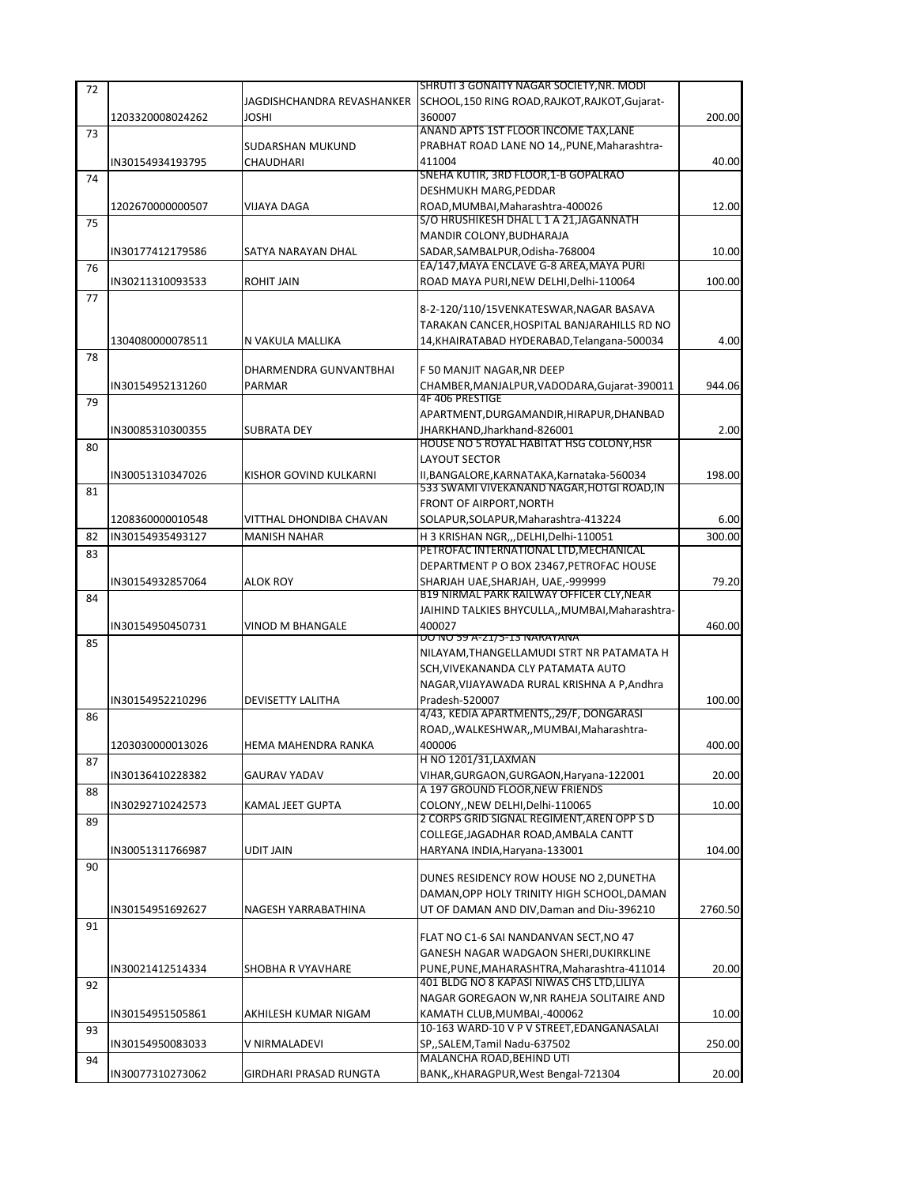| 72 |                  |                            | SHRUTI 3 GONAITY NAGAR SOCIETY, NR. MODI                               |         |
|----|------------------|----------------------------|------------------------------------------------------------------------|---------|
|    |                  | JAGDISHCHANDRA REVASHANKER | SCHOOL,150 RING ROAD, RAJKOT, RAJKOT, Gujarat-                         |         |
|    | 1203320008024262 | JOSHI                      | 360007                                                                 | 200.00  |
| 73 |                  |                            | ANAND APTS 1ST FLOOR INCOME TAX, LANE                                  |         |
|    |                  | SUDARSHAN MUKUND           | PRABHAT ROAD LANE NO 14,, PUNE, Maharashtra-                           |         |
|    | IN30154934193795 | CHAUDHARI                  | 411004                                                                 | 40.00   |
| 74 |                  |                            | SNEHA KUTIR, 3RD FLOOR, 1-B GOPALRAO                                   |         |
|    |                  |                            | DESHMUKH MARG, PEDDAR                                                  |         |
|    | 1202670000000507 | VIJAYA DAGA                | ROAD, MUMBAI, Maharashtra-400026                                       | 12.00   |
| 75 |                  |                            | S/O HRUSHIKESH DHAL L 1 A 21, JAGANNATH                                |         |
|    |                  |                            | MANDIR COLONY, BUDHARAJA                                               |         |
|    | IN30177412179586 | SATYA NARAYAN DHAL         | SADAR, SAMBALPUR, Odisha-768004                                        | 10.00   |
| 76 |                  |                            | EA/147, MAYA ENCLAVE G-8 AREA, MAYA PURI                               |         |
|    | IN30211310093533 | <b>ROHIT JAIN</b>          | ROAD MAYA PURI, NEW DELHI, Delhi-110064                                | 100.00  |
| 77 |                  |                            |                                                                        |         |
|    |                  |                            | 8-2-120/110/15VENKATESWAR, NAGAR BASAVA                                |         |
|    |                  |                            | TARAKAN CANCER, HOSPITAL BANJARAHILLS RD NO                            |         |
|    | 1304080000078511 | N VAKULA MALLIKA           | 14, KHAIRATABAD HYDERABAD, Telangana-500034                            | 4.00    |
|    |                  |                            |                                                                        |         |
| 78 |                  | DHARMENDRA GUNVANTBHAI     | F 50 MANJIT NAGAR, NR DEEP                                             |         |
|    |                  |                            |                                                                        | 944.06  |
|    | IN30154952131260 | PARMAR                     | CHAMBER, MANJALPUR, VADODARA, Gujarat-390011<br><b>4F 406 PRESTIGE</b> |         |
| 79 |                  |                            |                                                                        |         |
|    |                  |                            | APARTMENT, DURGAMANDIR, HIRAPUR, DHANBAD                               |         |
|    | IN30085310300355 | <b>SUBRATA DEY</b>         | JHARKHAND, Jharkhand-826001                                            | 2.00    |
| 80 |                  |                            | HOUSE NO 5 ROYAL HABITAT HSG COLONY, HSR                               |         |
|    |                  |                            | <b>LAYOUT SECTOR</b>                                                   |         |
|    | IN30051310347026 | KISHOR GOVIND KULKARNI     | II, BANGALORE, KARNATAKA, Karnataka-560034                             | 198.00  |
| 81 |                  |                            | 533 SWAMI VIVEKANAND NAGAR, HOTGI ROAD, IN                             |         |
|    |                  |                            | FRONT OF AIRPORT, NORTH                                                |         |
|    | 1208360000010548 | VITTHAL DHONDIBA CHAVAN    | SOLAPUR, SOLAPUR, Maharashtra-413224                                   | 6.00    |
| 82 | IN30154935493127 | <b>MANISH NAHAR</b>        | H 3 KRISHAN NGR,,,DELHI,Delhi-110051                                   | 300.00  |
| 83 |                  |                            | PETROFAC INTERNATIONAL LTD, MECHANICAL                                 |         |
|    |                  |                            | DEPARTMENT P O BOX 23467, PETROFAC HOUSE                               |         |
|    | IN30154932857064 | ALOK ROY                   | SHARJAH UAE, SHARJAH, UAE,-999999                                      | 79.20   |
| 84 |                  |                            | B19 NIRMAL PARK RAILWAY OFFICER CLY, NEAR                              |         |
|    |                  |                            | JAIHIND TALKIES BHYCULLA,, MUMBAI, Maharashtra-                        |         |
|    | IN30154950450731 | <b>VINOD M BHANGALE</b>    | 400027                                                                 | 460.00  |
|    |                  |                            | DO NO 59 A-21/5-13 NARAYANA                                            |         |
| 85 |                  |                            | NILAYAM, THANGELLAMUDI STRT NR PATAMATA H                              |         |
|    |                  |                            | SCH. VIVEKANANDA CLY PATAMATA AUTO                                     |         |
|    |                  |                            | NAGAR, VIJAYAWADA RURAL KRISHNA A P, Andhra                            |         |
|    |                  | <b>DEVISETTY LALITHA</b>   | Pradesh-520007                                                         |         |
|    | IN30154952210296 |                            | 4/43, KEDIA APARTMENTS, 29/F, DONGARASI                                | 100.00  |
| 86 |                  |                            |                                                                        |         |
|    |                  |                            | ROAD,, WALKESHWAR,, MUMBAI, Maharashtra-                               |         |
|    | 1203030000013026 | HEMA MAHENDRA RANKA        | 400006                                                                 | 400.00  |
| 87 |                  |                            | H NO 1201/31, LAXMAN                                                   |         |
|    | IN30136410228382 | GAURAV YADAV               | VIHAR, GURGAON, GURGAON, Haryana-122001                                | 20.00   |
| 88 |                  |                            | A 197 GROUND FLOOR, NEW FRIENDS                                        |         |
|    | IN30292710242573 | KAMAL JEET GUPTA           | COLONY, NEW DELHI, Delhi-110065                                        | 10.00   |
| 89 |                  |                            | 2 CORPS GRID SIGNAL REGIMENT, AREN OPP S D                             |         |
|    |                  |                            | COLLEGE, JAGADHAR ROAD, AMBALA CANTT                                   |         |
|    | IN30051311766987 | <b>UDIT JAIN</b>           | HARYANA INDIA, Haryana-133001                                          | 104.00  |
| 90 |                  |                            |                                                                        |         |
|    |                  |                            | DUNES RESIDENCY ROW HOUSE NO 2, DUNETHA                                |         |
|    |                  |                            | DAMAN, OPP HOLY TRINITY HIGH SCHOOL, DAMAN                             |         |
|    | IN30154951692627 | NAGESH YARRABATHINA        | UT OF DAMAN AND DIV, Daman and Diu-396210                              | 2760.50 |
| 91 |                  |                            |                                                                        |         |
|    |                  |                            | FLAT NO C1-6 SAI NANDANVAN SECT, NO 47                                 |         |
|    |                  |                            | GANESH NAGAR WADGAON SHERI, DUKIRKLINE                                 |         |
|    | IN30021412514334 | SHOBHA R VYAVHARE          | PUNE, PUNE, MAHARASHTRA, Maharashtra-411014                            | 20.00   |
| 92 |                  |                            | 401 BLDG NO 8 KAPASI NIWAS CHS LTD, LILIYA                             |         |
|    |                  |                            | NAGAR GOREGAON W, NR RAHEJA SOLITAIRE AND                              |         |
|    | IN30154951505861 | AKHILESH KUMAR NIGAM       | KAMATH CLUB, MUMBAI, -400062                                           | 10.00   |
| 93 |                  |                            | 10-163 WARD-10 V P V STREET, EDANGANASALAI                             |         |
|    | IN30154950083033 | V NIRMALADEVI              | SP,,SALEM,Tamil Nadu-637502                                            | 250.00  |
| 94 |                  |                            | MALANCHA ROAD, BEHIND UTI                                              |         |
|    | IN30077310273062 | GIRDHARI PRASAD RUNGTA     | BANK,, KHARAGPUR, West Bengal-721304                                   | 20.00   |
|    |                  |                            |                                                                        |         |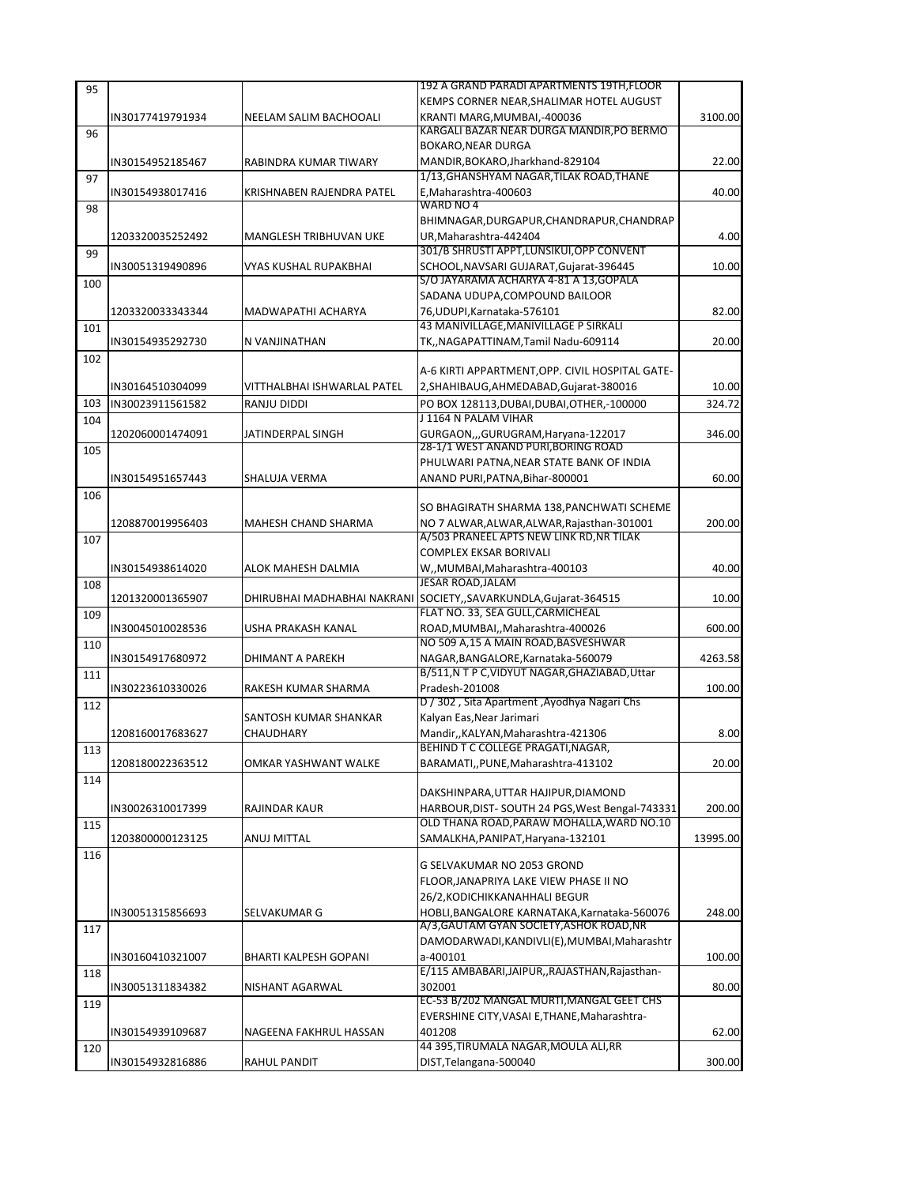| 95  |                  |                             | 192 A GRAND PARADI APARTMENTS 19TH, FLOOR                                              |          |
|-----|------------------|-----------------------------|----------------------------------------------------------------------------------------|----------|
|     |                  |                             | KEMPS CORNER NEAR, SHALIMAR HOTEL AUGUST                                               |          |
|     | IN30177419791934 | NEELAM SALIM BACHOOALI      | KRANTI MARG, MUMBAI, -400036                                                           | 3100.00  |
| 96  |                  |                             | KARGALI BAZAR NEAR DURGA MANDIR, PO BERMO                                              |          |
|     |                  |                             | <b>BOKARO, NEAR DURGA</b>                                                              |          |
|     | IN30154952185467 | RABINDRA KUMAR TIWARY       | MANDIR, BOKARO, Jharkhand-829104                                                       | 22.00    |
| 97  |                  |                             | 1/13, GHANSHYAM NAGAR, TILAK ROAD, THANE                                               |          |
|     | IN30154938017416 | KRISHNABEN RAJENDRA PATEL   | E, Maharashtra-400603                                                                  | 40.00    |
| 98  |                  |                             | WARD NO 4                                                                              |          |
|     |                  |                             | BHIMNAGAR, DURGAPUR, CHANDRAPUR, CHANDRAP                                              |          |
|     | 1203320035252492 | MANGLESH TRIBHUVAN UKE      | UR, Maharashtra-442404                                                                 | 4.00     |
| 99  |                  |                             | 301/B SHRUSTI APPT, LUNSIKUI, OPP CONVENT                                              |          |
|     | IN30051319490896 | VYAS KUSHAL RUPAKBHAI       | SCHOOL, NAVSARI GUJARAT, Gujarat-396445                                                | 10.00    |
| 100 |                  |                             | S/O JAYARAMA ACHARYA 4-81 A 13, GOPALA                                                 |          |
|     |                  |                             | SADANA UDUPA, COMPOUND BAILOOR                                                         |          |
|     | 1203320033343344 | MADWAPATHI ACHARYA          | 76, UDUPI, Karnataka-576101                                                            | 82.00    |
| 101 |                  |                             | 43 MANIVILLAGE, MANIVILLAGE P SIRKALI                                                  |          |
|     | IN30154935292730 | N VANJINATHAN               | TK,,NAGAPATTINAM,Tamil Nadu-609114                                                     | 20.00    |
| 102 |                  |                             |                                                                                        |          |
|     |                  |                             | A-6 KIRTI APPARTMENT, OPP. CIVIL HOSPITAL GATE-                                        |          |
|     | IN30164510304099 | VITTHALBHAI ISHWARLAL PATEL | 2, SHAHIBAUG, AHMEDABAD, Gujarat-380016                                                | 10.00    |
| 103 | IN30023911561582 | RANJU DIDDI                 | PO BOX 128113, DUBAI, DUBAI, OTHER, -100000                                            | 324.72   |
| 104 |                  |                             | J 1164 N PALAM VIHAR                                                                   |          |
|     | 1202060001474091 | JATINDERPAL SINGH           | GURGAON,,,GURUGRAM,Haryana-122017                                                      | 346.00   |
| 105 |                  |                             | 28-1/1 WEST ANAND PURI, BORING ROAD                                                    |          |
|     |                  |                             | PHULWARI PATNA, NEAR STATE BANK OF INDIA                                               |          |
|     | IN30154951657443 | SHALUJA VERMA               | ANAND PURI, PATNA, Bihar-800001                                                        | 60.00    |
| 106 |                  |                             |                                                                                        |          |
|     |                  |                             | SO BHAGIRATH SHARMA 138, PANCHWATI SCHEME                                              |          |
|     | 1208870019956403 | MAHESH CHAND SHARMA         | NO 7 ALWAR, ALWAR, ALWAR, Rajasthan-301001<br>A/503 PRANEEL APTS NEW LINK RD, NR TILAK | 200.00   |
| 107 |                  |                             |                                                                                        |          |
|     |                  |                             | <b>COMPLEX EKSAR BORIVALI</b>                                                          |          |
|     | IN30154938614020 | ALOK MAHESH DALMIA          | W,,MUMBAI,Maharashtra-400103                                                           | 40.00    |
| 108 |                  |                             | <b>JESAR ROAD, JALAM</b>                                                               |          |
|     | 1201320001365907 | DHIRUBHAI MADHABHAI NAKRANI | SOCIETY,,SAVARKUNDLA,Gujarat-364515<br>FLAT NO. 33, SEA GULL, CARMICHEAL               | 10.00    |
| 109 |                  |                             |                                                                                        |          |
|     | IN30045010028536 | USHA PRAKASH KANAL          | ROAD, MUMBAI,, Maharashtra-400026                                                      | 600.00   |
| 110 |                  |                             | NO 509 A,15 A MAIN ROAD, BASVESHWAR                                                    |          |
|     | IN30154917680972 | DHIMANT A PAREKH            | NAGAR, BANGALORE, Karnataka-560079<br>B/511, N T P C, VIDYUT NAGAR, GHAZIABAD, Uttar   | 4263.58  |
| 111 |                  |                             |                                                                                        |          |
|     | IN30223610330026 | RAKESH KUMAR SHARMA         | Pradesh-201008<br>D / 302, Sita Apartment, Ayodhya Nagari Chs                          | 100.00   |
| 112 |                  | SANTOSH KUMAR SHANKAR       | Kalyan Eas, Near Jarimari                                                              |          |
|     | 1208160017683627 |                             |                                                                                        |          |
|     |                  | CHAUDHARY                   | Mandir,, KALYAN, Maharashtra-421306<br>BEHIND T C COLLEGE PRAGATI.NAGAR                | 8.00     |
| 113 |                  |                             |                                                                                        |          |
|     | 1208180022363512 | OMKAR YASHWANT WALKE        | BARAMATI,, PUNE, Maharashtra-413102                                                    | 20.00    |
| 114 |                  |                             | DAKSHINPARA, UTTAR HAJIPUR, DIAMOND                                                    |          |
|     | IN30026310017399 | RAJINDAR KAUR               | HARBOUR, DIST-SOUTH 24 PGS, West Bengal-743331                                         | 200.00   |
|     |                  |                             | OLD THANA ROAD, PARAW MOHALLA, WARD NO.10                                              |          |
| 115 | 1203800000123125 | ANUJ MITTAL                 | SAMALKHA, PANIPAT, Haryana-132101                                                      | 13995.00 |
|     |                  |                             |                                                                                        |          |
| 116 |                  |                             | G SELVAKUMAR NO 2053 GROND                                                             |          |
|     |                  |                             | FLOOR, JANAPRIYA LAKE VIEW PHASE II NO                                                 |          |
|     |                  |                             | 26/2, KODICHIKKANAHHALI BEGUR                                                          |          |
|     | IN30051315856693 | SELVAKUMAR G                | HOBLI, BANGALORE KARNATAKA, Karnataka-560076                                           | 248.00   |
| 117 |                  |                             | A/3, GAUTAM GYAN SOCIETY, ASHOK ROAD, NR                                               |          |
|     |                  |                             | DAMODARWADI, KANDIVLI(E), MUMBAI, Maharashtr                                           |          |
|     | IN30160410321007 | BHARTI KALPESH GOPANI       | a-400101                                                                               | 100.00   |
| 118 |                  |                             | E/115 AMBABARI, JAIPUR, , RAJASTHAN, Rajasthan-                                        |          |
|     | IN30051311834382 | NISHANT AGARWAL             | 302001                                                                                 | 80.00    |
| 119 |                  |                             | EC-53 B/202 MANGAL MURTI, MANGAL GEET CHS                                              |          |
|     |                  |                             | EVERSHINE CITY, VASAI E, THANE, Maharashtra-                                           |          |
|     | IN30154939109687 | NAGEENA FAKHRUL HASSAN      | 401208                                                                                 | 62.00    |
| 120 |                  |                             | 44 395, TIRUMALA NAGAR, MOULA ALI, RR                                                  |          |
|     | IN30154932816886 | RAHUL PANDIT                | DIST, Telangana-500040                                                                 | 300.00   |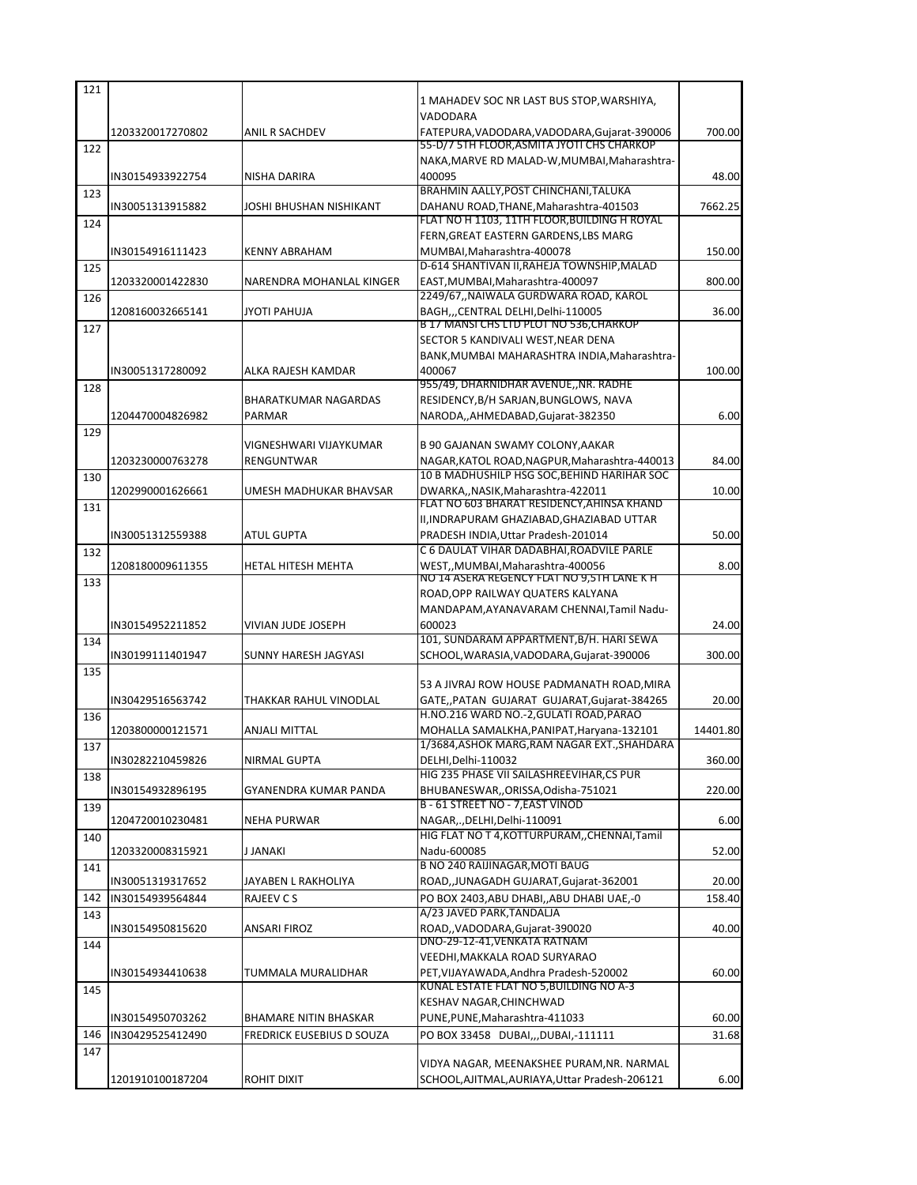| 121 |                  |                             | 1 MAHADEV SOC NR LAST BUS STOP, WARSHIYA,                                                  |          |
|-----|------------------|-----------------------------|--------------------------------------------------------------------------------------------|----------|
|     |                  |                             | VADODARA                                                                                   |          |
|     | 1203320017270802 | ANIL R SACHDEV              | FATEPURA, VADODARA, VADODARA, Gujarat-390006                                               | 700.00   |
| 122 |                  |                             | 55-D/7 5TH FLOOR, ASMITA JYOTI CHS CHARKOP<br>NAKA, MARVE RD MALAD-W, MUMBAI, Maharashtra- |          |
|     | IN30154933922754 | <b>NISHA DARIRA</b>         | 400095                                                                                     | 48.00    |
| 123 |                  |                             | BRAHMIN AALLY, POST CHINCHANI, TALUKA                                                      |          |
|     | IN30051313915882 | JOSHI BHUSHAN NISHIKANT     | DAHANU ROAD, THANE, Maharashtra-401503<br>FLAT NO H 1103, 11TH FLOOR, BUILDING H ROYAL     | 7662.25  |
| 124 |                  |                             | FERN, GREAT EASTERN GARDENS, LBS MARG                                                      |          |
|     | IN30154916111423 | <b>KENNY ABRAHAM</b>        | MUMBAI, Maharashtra-400078                                                                 | 150.00   |
| 125 |                  |                             | D-614 SHANTIVAN II, RAHEJA TOWNSHIP, MALAD                                                 |          |
|     | 1203320001422830 | NARENDRA MOHANLAL KINGER    | EAST, MUMBAI, Maharashtra-400097<br>2249/67,,NAIWALA GURDWARA ROAD, KAROL                  | 800.00   |
| 126 | 1208160032665141 | JYOTI PAHUJA                | BAGH,,,CENTRAL DELHI,Delhi-110005                                                          | 36.00    |
| 127 |                  |                             | B 17 MANSI CHS LID PLOT NO 536, CHARKOP                                                    |          |
|     |                  |                             | SECTOR 5 KANDIVALI WEST, NEAR DENA                                                         |          |
|     | IN30051317280092 | ALKA RAJESH KAMDAR          | BANK, MUMBAI MAHARASHTRA INDIA, Maharashtra-<br>400067                                     | 100.00   |
| 128 |                  |                             | 955/49, DHARNIDHAR AVENUE,, NR. RADHE                                                      |          |
|     |                  | <b>BHARATKUMAR NAGARDAS</b> | RESIDENCY, B/H SARJAN, BUNGLOWS, NAVA                                                      |          |
|     | 1204470004826982 | <b>PARMAR</b>               | NARODA,,AHMEDABAD,Gujarat-382350                                                           | 6.00     |
| 129 |                  | VIGNESHWARI VIJAYKUMAR      | B 90 GAJANAN SWAMY COLONY, AAKAR                                                           |          |
|     | 1203230000763278 | RENGUNTWAR                  | NAGAR, KATOL ROAD, NAGPUR, Maharashtra-440013                                              | 84.00    |
| 130 |                  |                             | 10 B MADHUSHILP HSG SOC, BEHIND HARIHAR SOC                                                |          |
|     | 1202990001626661 | UMESH MADHUKAR BHAVSAR      | DWARKA,, NASIK, Maharashtra-422011                                                         | 10.00    |
| 131 |                  |                             | FLAT NO 603 BHARAT RESIDENCY, AHINSA KHAND<br>II, INDRAPURAM GHAZIABAD, GHAZIABAD UTTAR    |          |
|     | IN30051312559388 | <b>ATUL GUPTA</b>           | PRADESH INDIA, Uttar Pradesh-201014                                                        | 50.00    |
| 132 |                  |                             | C 6 DAULAT VIHAR DADABHAI, ROADVILE PARLE                                                  |          |
|     | 1208180009611355 | HETAL HITESH MEHTA          | WEST,, MUMBAI, Maharashtra-400056                                                          | 8.00     |
| 133 |                  |                             | NO 14 ASERA REGENCY FLAT NO 9,5TH LANE K H<br>ROAD, OPP RAILWAY QUATERS KALYANA            |          |
|     |                  |                             | MANDAPAM, AYANAVARAM CHENNAI, Tamil Nadu-                                                  |          |
|     | IN30154952211852 | VIVIAN JUDE JOSEPH          | 600023                                                                                     | 24.00    |
| 134 |                  |                             | 101, SUNDARAM APPARTMENT, B/H. HARI SEWA                                                   |          |
|     | IN30199111401947 | SUNNY HARESH JAGYASI        | SCHOOL, WARASIA, VADODARA, Gujarat-390006                                                  | 300.00   |
| 135 |                  |                             | 53 A JIVRAJ ROW HOUSE PADMANATH ROAD, MIRA                                                 |          |
|     | IN30429516563742 | THAKKAR RAHUL VINODLAL      | GATE, PATAN GUJARAT GUJARAT, Gujarat-384265                                                | 20.00    |
| 136 |                  |                             | H.NO.216 WARD NO.-2, GULATI ROAD, PARAO                                                    |          |
|     | 1203800000121571 | ANJALI MITTAL               | MOHALLA SAMALKHA, PANIPAT, Haryana-132101                                                  | 14401.80 |
| 137 | IN30282210459826 | NIRMAL GUPTA                | 1/3684, ASHOK MARG, RAM NAGAR EXT., SHAHDARA<br>DELHI, Delhi-110032                        | 360.00   |
| 138 |                  |                             | HIG 235 PHASE VII SAILASHREEVIHAR.CS PUR                                                   |          |
|     | IN30154932896195 | GYANENDRA KUMAR PANDA       | BHUBANESWAR,,ORISSA,Odisha-751021                                                          | 220.00   |
| 139 |                  |                             | B - 61 STREET NO - 7, EAST VINOD                                                           |          |
|     | 1204720010230481 | NEHA PURWAR                 | NAGAR,., DELHI, Delhi-110091<br>HIG FLAT NO T 4, KOTTURPURAM, , CHENNAI, Tamil             | 6.00     |
| 140 | 1203320008315921 | J JANAKI                    | Nadu-600085                                                                                | 52.00    |
| 141 |                  |                             | <b>B NO 240 RAIJINAGAR, MOTI BAUG</b>                                                      |          |
|     | IN30051319317652 | JAYABEN L RAKHOLIYA         | ROAD,, JUNAGADH GUJARAT, Gujarat-362001                                                    | 20.00    |
| 142 | IN30154939564844 | RAJEEV C S                  | PO BOX 2403, ABU DHABI,, ABU DHABI UAE,-0                                                  | 158.40   |
| 143 | IN30154950815620 | ANSARI FIROZ                | A/23 JAVED PARK.TANDALJA<br>ROAD,, VADODARA, Gujarat-390020                                | 40.00    |
| 144 |                  |                             | DNO-29-12-41, VENKATA RATNAM                                                               |          |
|     |                  |                             | VEEDHI, MAKKALA ROAD SURYARAO                                                              |          |
|     | IN30154934410638 | TUMMALA MURALIDHAR          | PET, VIJAYAWADA, Andhra Pradesh-520002                                                     | 60.00    |
| 145 |                  |                             | KUNAL ESTATE FLAT NO 5, BUILDING NO A-3<br>KESHAV NAGAR, CHINCHWAD                         |          |
|     | IN30154950703262 | BHAMARE NITIN BHASKAR       | PUNE, PUNE, Maharashtra-411033                                                             | 60.00    |
| 146 | IN30429525412490 | FREDRICK EUSEBIUS D SOUZA   | PO BOX 33458 DUBAI,,,DUBAI,-111111                                                         | 31.68    |
| 147 |                  |                             |                                                                                            |          |
|     |                  |                             | VIDYA NAGAR, MEENAKSHEE PURAM, NR. NARMAL                                                  |          |
|     | 1201910100187204 | ROHIT DIXIT                 | SCHOOL, AJITMAL, AURIAYA, Uttar Pradesh-206121                                             | 6.00     |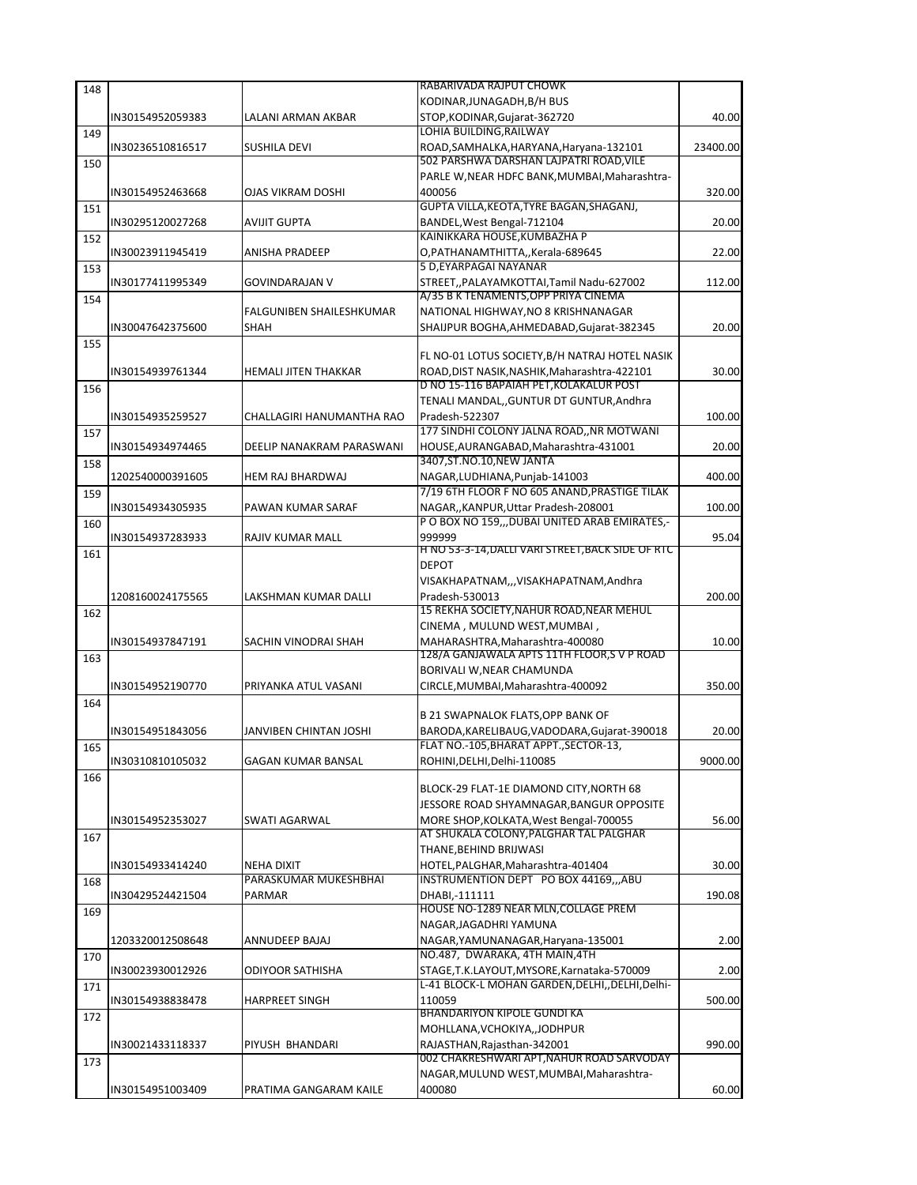| 148 |                  |                             | RABARIVADA RAJPUT CHOWK                                                          |          |
|-----|------------------|-----------------------------|----------------------------------------------------------------------------------|----------|
|     |                  |                             | KODINAR, JUNAGADH, B/H BUS                                                       |          |
|     | IN30154952059383 | LALANI ARMAN AKBAR          | STOP, KODINAR, Gujarat-362720                                                    | 40.00    |
| 149 |                  |                             | LOHIA BUILDING, RAILWAY                                                          |          |
|     | IN30236510816517 | SUSHILA DEVI                | ROAD, SAMHALKA, HARYANA, Haryana-132101                                          | 23400.00 |
| 150 |                  |                             | 502 PARSHWA DARSHAN LAJPATRI ROAD,VILE                                           |          |
|     |                  |                             | PARLE W, NEAR HDFC BANK, MUMBAI, Maharashtra-                                    |          |
|     | IN30154952463668 | OJAS VIKRAM DOSHI           | 400056                                                                           | 320.00   |
| 151 |                  |                             | GUPTA VILLA, KEOTA, TYRE BAGAN, SHAGANJ,                                         |          |
|     | IN30295120027268 | AVIJIT GUPTA                | BANDEL, West Bengal-712104                                                       | 20.00    |
| 152 |                  |                             | KAINIKKARA HOUSE, KUMBAZHA P                                                     |          |
|     | IN30023911945419 | ANISHA PRADEEP              | O, PATHANAMTHITTA,, Kerala-689645<br>5 D.EYARPAGAI NAYANAR                       | 22.00    |
| 153 |                  |                             |                                                                                  |          |
|     | IN30177411995349 | <b>GOVINDARAJAN V</b>       | STREET,, PALAYAMKOTTAI, Tamil Nadu-627002<br>A/35 B K TENAMENTS,OPP PRIYA CINEMA | 112.00   |
| 154 |                  | FALGUNIBEN SHAILESHKUMAR    | NATIONAL HIGHWAY,NO 8 KRISHNANAGAR                                               |          |
|     | IN30047642375600 | <b>SHAH</b>                 | SHAIJPUR BOGHA, AHMEDABAD, Gujarat-382345                                        | 20.00    |
|     |                  |                             |                                                                                  |          |
| 155 |                  |                             | FL NO-01 LOTUS SOCIETY, B/H NATRAJ HOTEL NASIK                                   |          |
|     | IN30154939761344 | <b>HEMALI JITEN THAKKAR</b> | ROAD, DIST NASIK, NASHIK, Maharashtra-422101                                     | 30.00    |
| 156 |                  |                             | D NO 15-116 BAPAIAH PET,KOLAKALUR POST                                           |          |
|     |                  |                             | TENALI MANDAL,, GUNTUR DT GUNTUR, Andhra                                         |          |
|     | IN30154935259527 | CHALLAGIRI HANUMANTHA RAO   | Pradesh-522307                                                                   | 100.00   |
| 157 |                  |                             | 177 SINDHI COLONY JALNA ROAD,, NR MOTWANI                                        |          |
|     | IN30154934974465 | DEELIP NANAKRAM PARASWANI   | HOUSE, AURANGABAD, Maharashtra-431001                                            | 20.00    |
| 158 |                  |                             | 3407, ST. NO. 10, NEW JANTA                                                      |          |
|     | 1202540000391605 | <b>HEM RAJ BHARDWAJ</b>     | NAGAR, LUDHIANA, Punjab-141003                                                   | 400.00   |
| 159 |                  |                             | 7/19 6TH FLOOR F NO 605 ANAND, PRASTIGE TILAK                                    |          |
|     | IN30154934305935 | PAWAN KUMAR SARAF           | NAGAR, KANPUR, Uttar Pradesh-208001                                              | 100.00   |
| 160 |                  |                             | P O BOX NO 159,,, DUBAI UNITED ARAB EMIRATES,-                                   |          |
|     | IN30154937283933 | RAJIV KUMAR MALL            | 999999                                                                           | 95.04    |
| 161 |                  |                             | H NO 53-3-14,DALLI VARI STREET,BACK SIDE OF RTC                                  |          |
|     |                  |                             | <b>DEPOT</b>                                                                     |          |
|     |                  |                             | VISAKHAPATNAM,,,VISAKHAPATNAM,Andhra                                             |          |
|     | 1208160024175565 | LAKSHMAN KUMAR DALLI        | Pradesh-530013                                                                   | 200.00   |
| 162 |                  |                             | 15 REKHA SOCIETY, NAHUR ROAD, NEAR MEHUL                                         |          |
|     |                  |                             | CINEMA, MULUND WEST, MUMBAI,                                                     |          |
|     | IN30154937847191 | SACHIN VINODRAI SHAH        | MAHARASHTRA, Maharashtra-400080                                                  | 10.00    |
| 163 |                  |                             | 128/A GANJAWALA APTS 11TH FLOOR,S V P ROAD                                       |          |
|     |                  |                             | BORIVALI W, NEAR CHAMUNDA                                                        |          |
|     | IN30154952190770 | PRIYANKA ATUL VASANI        | CIRCLE, MUMBAI, Maharashtra-400092                                               | 350.00   |
| 164 |                  |                             |                                                                                  |          |
|     |                  |                             | B 21 SWAPNALOK FLATS, OPP BANK OF                                                |          |
|     | IN30154951843056 | JANVIBEN CHINTAN JOSHI      | BARODA, KARELIBAUG, VADODARA, Gujarat-390018                                     | 20.00    |
| 165 |                  |                             | FLAT NO.-105, BHARAT APPT., SECTOR-13,                                           |          |
|     | IN30310810105032 | <b>GAGAN KUMAR BANSAL</b>   | ROHINI, DELHI, Delhi-110085                                                      | 9000.00  |
| 166 |                  |                             | BLOCK-29 FLAT-1E DIAMOND CITY, NORTH 68                                          |          |
|     |                  |                             | JESSORE ROAD SHYAMNAGAR, BANGUR OPPOSITE                                         |          |
|     | IN30154952353027 | SWATI AGARWAL               | MORE SHOP, KOLKATA, West Bengal-700055                                           | 56.00    |
|     |                  |                             | AT SHUKALA COLONY,PALGHAR TAL PALGHAR                                            |          |
| 167 |                  |                             | THANE,BEHIND BRIJWASI                                                            |          |
|     | IN30154933414240 | <b>NEHA DIXIT</b>           | HOTEL, PALGHAR, Maharashtra-401404                                               | 30.00    |
| 168 |                  | PARASKUMAR MUKESHBHAI       | INSTRUMENTION DEPT PO BOX 44169,,,ABU                                            |          |
|     | IN30429524421504 | PARMAR                      | DHABI,-111111                                                                    | 190.08   |
| 169 |                  |                             | HOUSE NO-1289 NEAR MLN,COLLAGE PREM                                              |          |
|     |                  |                             | NAGAR, JAGADHRI YAMUNA                                                           |          |
|     | 1203320012508648 | ANNUDEEP BAJAJ              | NAGAR, YAMUNANAGAR, Haryana-135001                                               | 2.00     |
| 170 |                  |                             | NO.487, DWARAKA, 4TH MAIN, 4TH                                                   |          |
|     | IN30023930012926 | ODIYOOR SATHISHA            | STAGE, T.K.LAYOUT, MYSORE, Karnataka-570009                                      | 2.00     |
| 171 |                  |                             | L-41 BLOCK-L MOHAN GARDEN, DELHI, DELHI, Delhi-                                  |          |
|     | IN30154938838478 | <b>HARPREET SINGH</b>       | 110059                                                                           | 500.00   |
| 172 |                  |                             | BHANDARIYON KIPOLE GUNDI KA                                                      |          |
|     |                  |                             | MOHLLANA,VCHOKIYA,,JODHPUR                                                       |          |
|     | IN30021433118337 | PIYUSH BHANDARI             | RAJASTHAN, Rajasthan-342001                                                      | 990.00   |
| 173 |                  |                             | 002 CHAKRESHWARI APT,NAHUR ROAD SARVODAY                                         |          |
|     |                  |                             | NAGAR, MULUND WEST, MUMBAI, Maharashtra-                                         |          |
|     | IN30154951003409 | PRATIMA GANGARAM KAILE      | 400080                                                                           | 60.00    |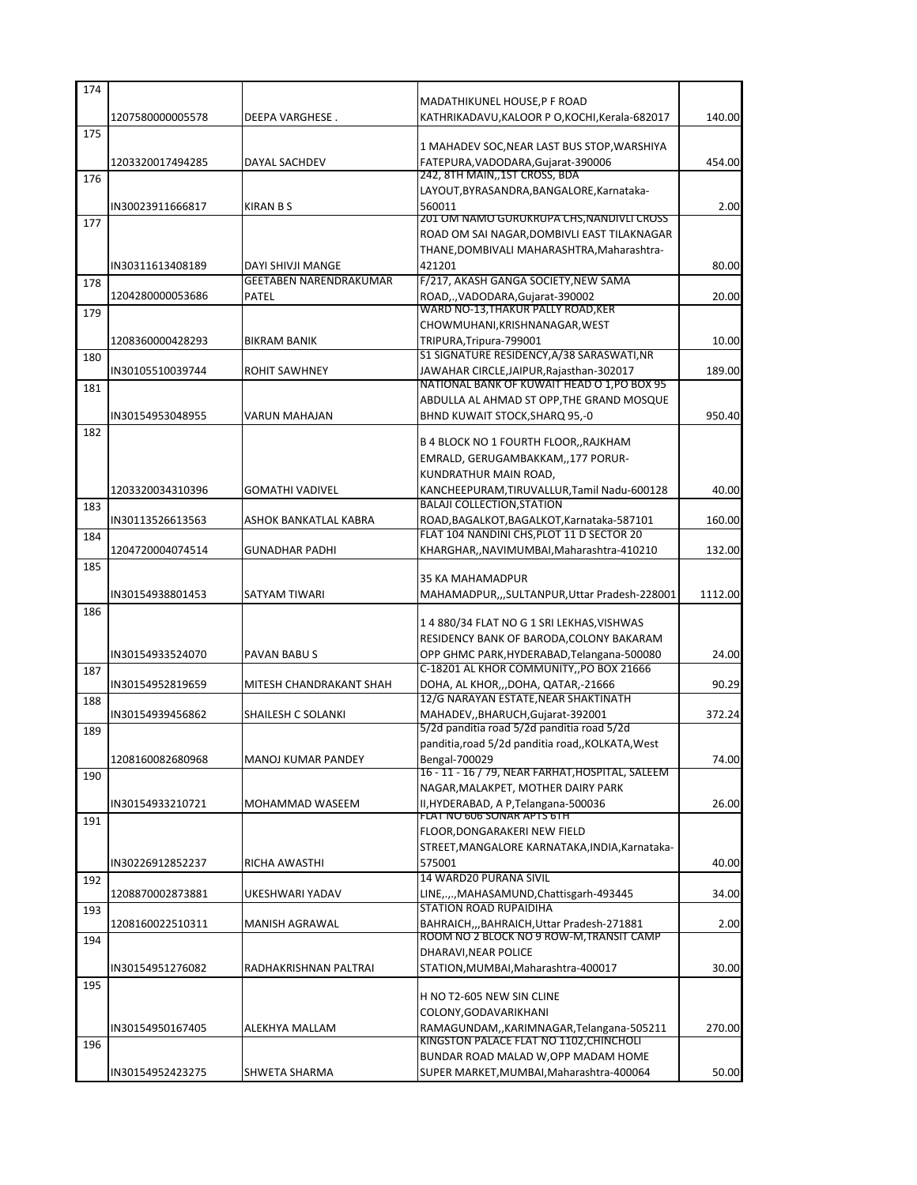| 174 |                  |                         |                                                                                 |         |
|-----|------------------|-------------------------|---------------------------------------------------------------------------------|---------|
|     |                  |                         | MADATHIKUNEL HOUSE, P F ROAD                                                    |         |
| 175 | 1207580000005578 | DEEPA VARGHESE.         | KATHRIKADAVU, KALOOR P O, KOCHI, Kerala-682017                                  | 140.00  |
|     |                  |                         | 1 MAHADEV SOC, NEAR LAST BUS STOP, WARSHIYA                                     |         |
|     | 1203320017494285 | DAYAL SACHDEV           | FATEPURA, VADODARA, Gujarat-390006                                              | 454.00  |
| 176 |                  |                         | 242, 8TH MAIN, 1ST CROSS, BDA                                                   |         |
|     |                  |                         | LAYOUT, BYRASANDRA, BANGALORE, Karnataka-                                       |         |
|     | IN30023911666817 | <b>KIRAN B S</b>        | 560011<br><u>201 OM NAMO GURUKRUPA CHS,NANDIVLI CROSS</u>                       | 2.00    |
| 177 |                  |                         | ROAD OM SAI NAGAR, DOMBIVLI EAST TILAKNAGAR                                     |         |
|     |                  |                         | THANE, DOMBIVALI MAHARASHTRA, Maharashtra-                                      |         |
|     | IN30311613408189 | DAYI SHIVJI MANGE       | 421201                                                                          | 80.00   |
| 178 |                  | GEETABEN NARENDRAKUMAR  | F/217, AKASH GANGA SOCIETY, NEW SAMA                                            |         |
|     | 1204280000053686 | <b>PATEL</b>            | ROAD,., VADODARA, Gujarat-390002                                                | 20.00   |
| 179 |                  |                         | WARD NO-13,THAKUR PALLY ROAD,KER                                                |         |
|     | 1208360000428293 | <b>BIKRAM BANIK</b>     | CHOWMUHANI, KRISHNANAGAR, WEST<br>TRIPURA, Tripura-799001                       | 10.00   |
| 180 |                  |                         | S1 SIGNATURE RESIDENCY, A/38 SARASWATI, NR                                      |         |
|     | IN30105510039744 | ROHIT SAWHNEY           | JAWAHAR CIRCLE, JAIPUR, Rajasthan-302017                                        | 189.00  |
| 181 |                  |                         | NATIONAL BANK OF KUWAIT HEAD O 1,PO BOX 95                                      |         |
|     |                  |                         | ABDULLA AL AHMAD ST OPP, THE GRAND MOSQUE                                       |         |
|     | IN30154953048955 | <b>VARUN MAHAJAN</b>    | BHND KUWAIT STOCK, SHARQ 95,-0                                                  | 950.40  |
| 182 |                  |                         | B 4 BLOCK NO 1 FOURTH FLOOR,, RAJKHAM                                           |         |
|     |                  |                         | EMRALD, GERUGAMBAKKAM,,177 PORUR-                                               |         |
|     |                  |                         | KUNDRATHUR MAIN ROAD,                                                           |         |
|     | 1203320034310396 | <b>GOMATHI VADIVEL</b>  | KANCHEEPURAM, TIRUVALLUR, Tamil Nadu-600128                                     | 40.00   |
| 183 |                  |                         | <b>BALAJI COLLECTION.STATION</b>                                                |         |
|     | IN30113526613563 | ASHOK BANKATLAL KABRA   | ROAD, BAGALKOT, BAGALKOT, Karnataka-587101                                      | 160.00  |
| 184 |                  |                         | FLAT 104 NANDINI CHS, PLOT 11 D SECTOR 20                                       |         |
|     | 1204720004074514 | <b>GUNADHAR PADHI</b>   | KHARGHAR,, NAVIMUMBAI, Maharashtra-410210                                       | 132.00  |
| 185 |                  |                         | 35 KA MAHAMADPUR                                                                |         |
|     | IN30154938801453 | SATYAM TIWARI           | MAHAMADPUR,,,SULTANPUR,Uttar Pradesh-228001                                     | 1112.00 |
| 186 |                  |                         |                                                                                 |         |
|     |                  |                         | 1 4 880/34 FLAT NO G 1 SRI LEKHAS, VISHWAS                                      |         |
|     |                  |                         | RESIDENCY BANK OF BARODA, COLONY BAKARAM                                        |         |
|     |                  |                         |                                                                                 |         |
|     | IN30154933524070 | PAVAN BABU S            | OPP GHMC PARK, HYDERABAD, Telangana-500080                                      | 24.00   |
| 187 |                  |                         | C-18201 AL KHOR COMMUNITY,, PO BOX 21666                                        |         |
|     | IN30154952819659 | MITESH CHANDRAKANT SHAH | DOHA, AL KHOR,,,DOHA, QATAR,-21666                                              | 90.29   |
| 188 |                  |                         | 12/G NARAYAN ESTATE.NEAR SHAKTINATH                                             |         |
|     | IN30154939456862 | SHAILESH C SOLANKI      | MAHADEV,, BHARUCH, Gujarat-392001                                               | 372.24  |
| 189 |                  |                         | 5/2d panditia road 5/2d panditia road 5/2d                                      |         |
|     | 1208160082680968 | MANOJ KUMAR PANDEY      | panditia, road 5/2d panditia road,, KOLKATA, West<br>Bengal-700029              | 74.00   |
| 190 |                  |                         | 16 - 11 - 16 / 79, NEAR FARHAT, HOSPITAL, SALEEM                                |         |
|     |                  |                         | NAGAR, MALAKPET, MOTHER DAIRY PARK                                              |         |
|     | IN30154933210721 | MOHAMMAD WASEEM         | II, HYDERABAD, A P, Telangana-500036                                            | 26.00   |
| 191 |                  |                         | FLAT NO 606 SONAR APTS 6TH                                                      |         |
|     |                  |                         | FLOOR, DONGARAKERI NEW FIELD<br>STREET, MANGALORE KARNATAKA, INDIA, Karnataka-  |         |
|     | IN30226912852237 | RICHA AWASTHI           | 575001                                                                          | 40.00   |
| 192 |                  |                         | 14 WARD20 PURANA SIVIL                                                          |         |
|     | 1208870002873881 | UKESHWARI YADAV         | LINE,.,., MAHASAMUND, Chattisgarh-493445                                        | 34.00   |
| 193 |                  |                         | <b>STATION ROAD RUPAIDIHA</b>                                                   |         |
|     | 1208160022510311 | MANISH AGRAWAL          | BAHRAICH,,,BAHRAICH,Uttar Pradesh-271881                                        | 2.00    |
| 194 |                  |                         | ROOM NO 2 BLOCK NO 9 ROW-M, TRANSIT CAMP                                        |         |
|     | IN30154951276082 | RADHAKRISHNAN PALTRAI   | DHARAVI, NEAR POLICE                                                            | 30.00   |
| 195 |                  |                         | STATION, MUMBAI, Maharashtra-400017                                             |         |
|     |                  |                         | H NO T2-605 NEW SIN CLINE                                                       |         |
|     |                  |                         | COLONY, GODAVARIKHANI                                                           |         |
|     | IN30154950167405 | ALEKHYA MALLAM          | RAMAGUNDAM,,KARIMNAGAR,Telangana-505211                                         | 270.00  |
| 196 |                  |                         | KINGSTON PALACE FLAT NO 1102, CHINCHOLI                                         |         |
|     | IN30154952423275 | SHWETA SHARMA           | BUNDAR ROAD MALAD W, OPP MADAM HOME<br>SUPER MARKET, MUMBAI, Maharashtra-400064 | 50.00   |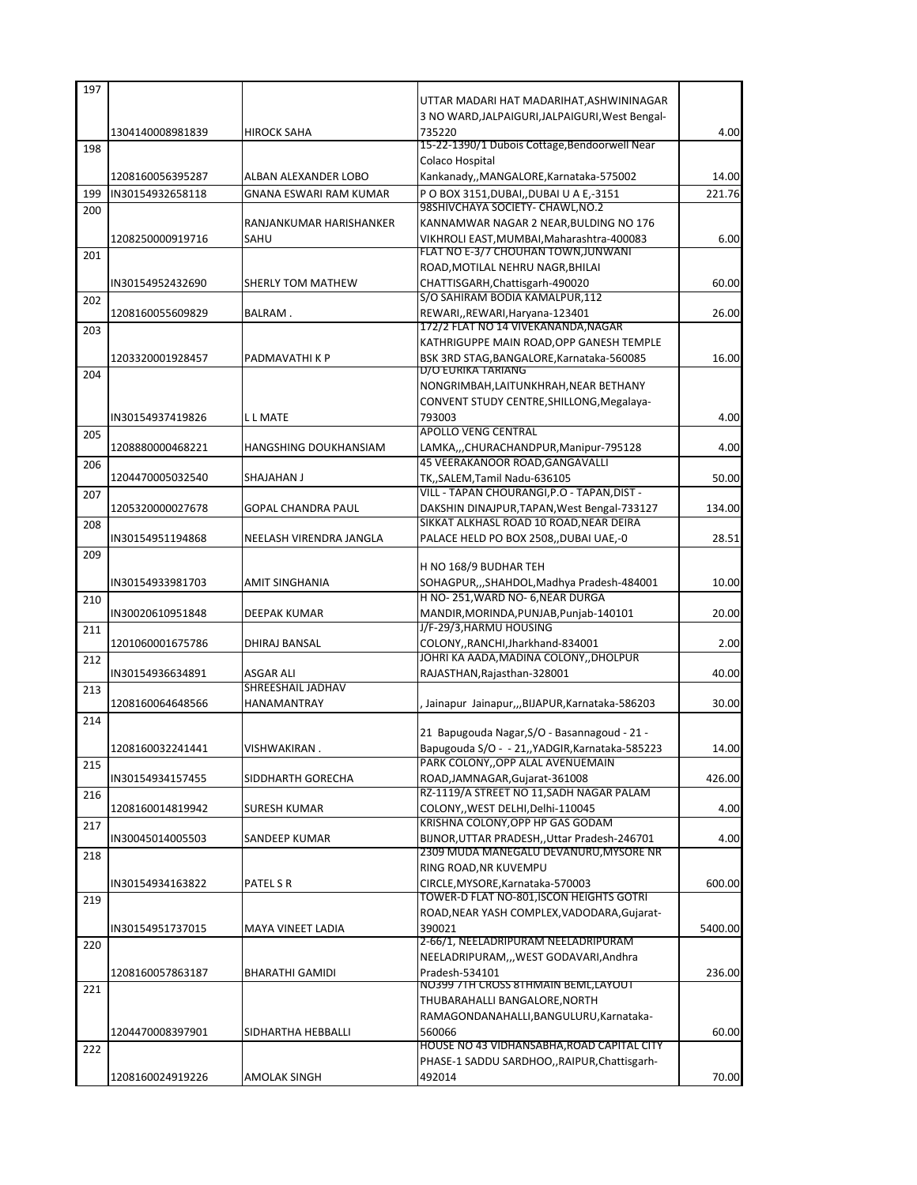| 197 |                  |                               |                                                                                     |         |
|-----|------------------|-------------------------------|-------------------------------------------------------------------------------------|---------|
|     |                  |                               | UTTAR MADARI HAT MADARIHAT,ASHWININAGAR                                             |         |
|     |                  |                               | 3 NO WARD, JALPAIGURI, JALPAIGURI, West Bengal-                                     |         |
|     | 1304140008981839 | <b>HIROCK SAHA</b>            | 735220                                                                              | 4.00    |
| 198 |                  |                               | 15-22-1390/1 Dubois Cottage, Bendoorwell Near                                       |         |
|     |                  |                               | Colaco Hospital                                                                     |         |
|     | 1208160056395287 | ALBAN ALEXANDER LOBO          | Kankanady,, MANGALORE, Karnataka-575002                                             | 14.00   |
| 199 | IN30154932658118 | <b>GNANA ESWARI RAM KUMAR</b> | PO BOX 3151, DUBAI, , DUBAI U A E,-3151                                             | 221.76  |
| 200 |                  |                               | 98SHIVCHAYA SOCIETY- CHAWL,NO.2                                                     |         |
|     |                  | RANJANKUMAR HARISHANKER       | KANNAMWAR NAGAR 2 NEAR, BULDING NO 176                                              |         |
|     | 1208250000919716 | SAHU                          | VIKHROLI EAST, MUMBAI, Maharashtra-400083<br>FLAT NO E-3/7 CHOUHAN TOWN, JUNWANI    | 6.00    |
| 201 |                  |                               | ROAD, MOTILAL NEHRU NAGR, BHILAI                                                    |         |
|     | IN30154952432690 | SHERLY TOM MATHEW             | CHATTISGARH, Chattisgarh-490020                                                     | 60.00   |
|     |                  |                               | S/O SAHIRAM BODIA KAMALPUR, 112                                                     |         |
| 202 | 1208160055609829 | BALRAM.                       | REWARI,, REWARI, Haryana-123401                                                     | 26.00   |
|     |                  |                               | 172/2 FLAT NO 14 VIVEKANANDA, NAGAR                                                 |         |
| 203 |                  |                               | KATHRIGUPPE MAIN ROAD,OPP GANESH TEMPLE                                             |         |
|     | 1203320001928457 | PADMAVATHI K P                | BSK 3RD STAG, BANGALORE, Karnataka-560085                                           | 16.00   |
| 204 |                  |                               | D/O EURIKA TARIANG                                                                  |         |
|     |                  |                               | NONGRIMBAH,LAITUNKHRAH,NEAR BETHANY                                                 |         |
|     |                  |                               | CONVENT STUDY CENTRE, SHILLONG, Megalaya-                                           |         |
|     | IN30154937419826 | L L MATE                      | 793003                                                                              | 4.00    |
| 205 |                  |                               | <b>APOLLO VENG CENTRAL</b>                                                          |         |
|     | 1208880000468221 | HANGSHING DOUKHANSIAM         | LAMKA,,,CHURACHANDPUR,Manipur-795128                                                | 4.00    |
| 206 |                  |                               | 45 VEERAKANOOR ROAD.GANGAVALLI                                                      |         |
|     | 1204470005032540 | SHAJAHAN J                    | TK,,SALEM,Tamil Nadu-636105                                                         | 50.00   |
| 207 |                  |                               | VILL - TAPAN CHOURANGI, P.O - TAPAN, DIST -                                         |         |
|     | 1205320000027678 | <b>GOPAL CHANDRA PAUL</b>     | DAKSHIN DINAJPUR, TAPAN, West Bengal-733127                                         | 134.00  |
| 208 |                  |                               | SIKKAT ALKHASL ROAD 10 ROAD, NEAR DEIRA                                             |         |
|     | IN30154951194868 | NEELASH VIRENDRA JANGLA       | PALACE HELD PO BOX 2508,,DUBAI UAE,-0                                               | 28.51   |
| 209 |                  |                               |                                                                                     |         |
|     |                  |                               | H NO 168/9 BUDHAR TEH                                                               |         |
|     | IN30154933981703 | AMIT SINGHANIA                | SOHAGPUR,,,SHAHDOL,Madhya Pradesh-484001                                            | 10.00   |
| 210 |                  |                               | H NO-251, WARD NO-6, NEAR DURGA                                                     |         |
|     | IN30020610951848 | DEEPAK KUMAR                  | MANDIR, MORINDA, PUNJAB, Punjab-140101                                              | 20.00   |
| 211 |                  |                               | J/F-29/3, HARMU HOUSING                                                             |         |
|     | 1201060001675786 | DHIRAJ BANSAL                 | COLONY,,RANCHI,Jharkhand-834001                                                     | 2.00    |
| 212 |                  |                               | JOHRI KA AADA, MADINA COLONY, , DHOLPUR                                             |         |
|     | IN30154936634891 | ASGAR ALI                     | RAJASTHAN, Rajasthan-328001                                                         | 40.00   |
| 213 |                  | SHREESHAIL JADHAV             |                                                                                     |         |
|     | 1208160064648566 | <b>HANAMANTRAY</b>            | Jainapur Jainapur,,,BIJAPUR, Karnataka-586203                                       | 30.00   |
| 214 |                  |                               |                                                                                     |         |
|     |                  |                               | 21 Bapugouda Nagar, S/O - Basannagoud - 21 -                                        |         |
|     | 1208160032241441 | <b>VISHWAKIRAN</b>            | Bapugouda S/O - - 21,, YADGIR, Karnataka-585223<br>PARK COLONY, OPP ALAL AVENUEMAIN | 14.00   |
| 215 |                  |                               |                                                                                     | 426.00  |
|     | IN30154934157455 | SIDDHARTH GORECHA             | ROAD, JAMNAGAR, Gujarat-361008<br>RZ-1119/A STREET NO 11, SADH NAGAR PALAM          |         |
| 216 | 1208160014819942 | SURESH KUMAR                  | COLONY,, WEST DELHI, Delhi-110045                                                   | 4.00    |
|     |                  |                               | KRISHNA COLONY, OPP HP GAS GODAM                                                    |         |
| 217 | IN30045014005503 | SANDEEP KUMAR                 | BIJNOR, UTTAR PRADESH, Uttar Pradesh-246701                                         | 4.00    |
| 218 |                  |                               | <u>2309 MUDA MANEGALU DEVANURU,MYSORE NR</u>                                        |         |
|     |                  |                               | RING ROAD, NR KUVEMPU                                                               |         |
|     | IN30154934163822 | PATEL S R                     | CIRCLE, MYSORE, Karnataka-570003                                                    | 600.00  |
| 219 |                  |                               | TOWER-D FLAT NO-801,ISCON HEIGHTS GOTRI                                             |         |
|     |                  |                               | ROAD, NEAR YASH COMPLEX, VADODARA, Gujarat-                                         |         |
|     | IN30154951737015 | MAYA VINEET LADIA             | 390021                                                                              | 5400.00 |
| 220 |                  |                               | 2-66/1, NEELADRIPURAM NEELADRIPURAM                                                 |         |
|     |                  |                               | NEELADRIPURAM,,,WEST GODAVARI,Andhra                                                |         |
|     | 1208160057863187 | <b>BHARATHI GAMIDI</b>        | Pradesh-534101                                                                      | 236.00  |
| 221 |                  |                               | NO399 7TH CROSS 8THMAIN BEML,LAYOUT                                                 |         |
|     |                  |                               | THUBARAHALLI BANGALORE, NORTH                                                       |         |
|     |                  |                               | RAMAGONDANAHALLI, BANGULURU, Karnataka-                                             |         |
|     | 1204470008397901 | SIDHARTHA HEBBALLI            | 560066                                                                              | 60.00   |
| 222 |                  |                               | HOUSE NO 43 VIDHANSABHA, ROAD CAPITAL CITY                                          |         |
|     |                  |                               | PHASE-1 SADDU SARDHOO,, RAIPUR, Chattisgarh-                                        |         |
|     | 1208160024919226 | AMOLAK SINGH                  | 492014                                                                              | 70.00   |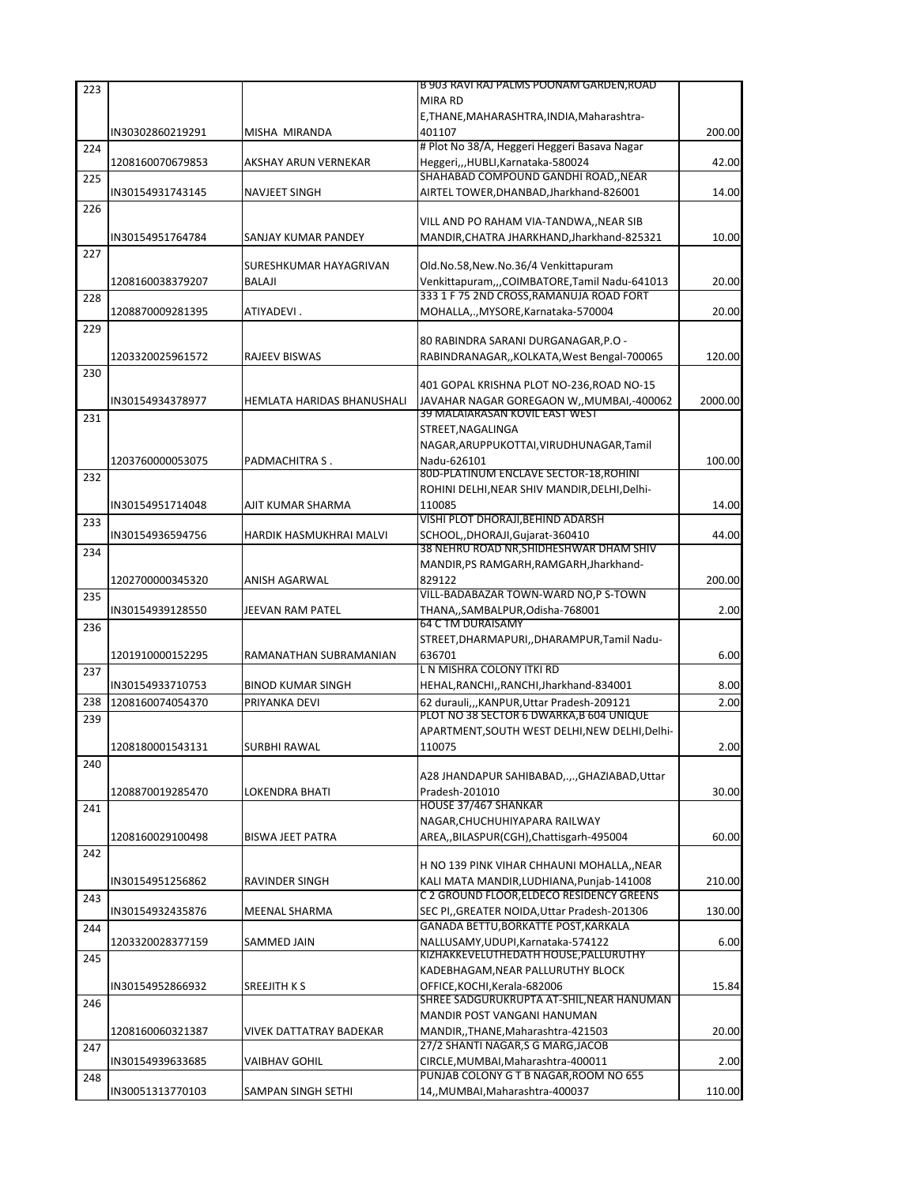| 223 |                  |                            | <u>B 903 RAVI RAJ PALMS POONAM GARDEN,ROAD</u>      |         |
|-----|------------------|----------------------------|-----------------------------------------------------|---------|
|     |                  |                            | <b>MIRA RD</b>                                      |         |
|     |                  |                            | E, THANE, MAHARASHTRA, INDIA, Maharashtra-          |         |
|     | IN30302860219291 | MISHA MIRANDA              | 401107                                              | 200.00  |
| 224 |                  |                            | # Plot No 38/A, Heggeri Heggeri Basava Nagar        |         |
|     | 1208160070679853 | AKSHAY ARUN VERNEKAR       | Heggeri,,,HUBLI,Karnataka-580024                    | 42.00   |
| 225 |                  |                            | SHAHABAD COMPOUND GANDHI ROAD,, NEAR                |         |
|     | IN30154931743145 | NAVJEET SINGH              | AIRTEL TOWER, DHANBAD, Jharkhand-826001             | 14.00   |
| 226 |                  |                            |                                                     |         |
|     |                  |                            | VILL AND PO RAHAM VIA-TANDWA,, NEAR SIB             |         |
|     | IN30154951764784 | SANJAY KUMAR PANDEY        | MANDIR, CHATRA JHARKHAND, Jharkhand-825321          | 10.00   |
| 227 |                  |                            |                                                     |         |
|     |                  | SURESHKUMAR HAYAGRIVAN     | Old.No.58, New.No.36/4 Venkittapuram                |         |
|     | 1208160038379207 | <b>BALAJI</b>              | Venkittapuram,,,COIMBATORE,Tamil Nadu-641013        | 20.00   |
| 228 |                  |                            | 333 1 F 75 2ND CROSS, RAMANUJA ROAD FORT            |         |
|     | 1208870009281395 | ATIYADEVI.                 | MOHALLA,., MYSORE, Karnataka-570004                 | 20.00   |
| 229 |                  |                            |                                                     |         |
|     |                  |                            | 80 RABINDRA SARANI DURGANAGAR, P.O -                |         |
|     | 1203320025961572 | RAJEEV BISWAS              | RABINDRANAGAR,, KOLKATA, West Bengal-700065         | 120.00  |
| 230 |                  |                            |                                                     |         |
|     |                  |                            | 401 GOPAL KRISHNA PLOT NO-236, ROAD NO-15           |         |
|     | IN30154934378977 | HEMLATA HARIDAS BHANUSHALI | JAVAHAR NAGAR GOREGAON W,, MUMBAI,-400062           | 2000.00 |
| 231 |                  |                            | 39 MALAIARASAN KOVIL EAST WEST                      |         |
|     |                  |                            | STREET, NAGALINGA                                   |         |
|     |                  |                            | NAGAR, ARUPPUKOTTAI, VIRUDHUNAGAR, Tamil            |         |
|     | 1203760000053075 | PADMACHITRA S.             | Nadu-626101                                         | 100.00  |
| 232 |                  |                            | 80D-PLATINUM ENCLAVE SECTOR-18, ROHINI              |         |
|     |                  |                            | ROHINI DELHI, NEAR SHIV MANDIR, DELHI, Delhi-       |         |
|     | IN30154951714048 | AJIT KUMAR SHARMA          | 110085                                              | 14.00   |
| 233 |                  |                            | VISHI PLOT DHORAJI, BEHIND ADARSH                   |         |
|     | IN30154936594756 | HARDIK HASMUKHRAI MALVI    | SCHOOL, DHORAJI, Gujarat-360410                     | 44.00   |
| 234 |                  |                            | 38 NEHRU ROAD NR, SHIDHESHWAR DHAM SHIV             |         |
|     |                  |                            | MANDIR, PS RAMGARH, RAMGARH, Jharkhand-             |         |
|     | 1202700000345320 | ANISH AGARWAL              | 829122                                              | 200.00  |
| 235 |                  |                            | VILL-BADABAZAR TOWN-WARD NO,P S-TOWN                |         |
|     | IN30154939128550 | JEEVAN RAM PATEL           | THANA,,SAMBALPUR,Odisha-768001<br>64 C TM DURAISAMY | 2.00    |
| 236 |                  |                            |                                                     |         |
|     |                  |                            | STREET, DHARMAPURI, , DHARAMPUR, Tamil Nadu-        |         |
|     | 1201910000152295 | RAMANATHAN SUBRAMANIAN     | 636701                                              | 6.00    |
| 237 |                  |                            | L N MISHRA COLONY ITKI RD                           |         |
|     | IN30154933710753 | <b>BINOD KUMAR SINGH</b>   | HEHAL, RANCHI, , RANCHI, Jharkhand-834001           | 8.00    |
| 238 | 1208160074054370 | PRIYANKA DEVI              | 62 durauli,,,KANPUR,Uttar Pradesh-209121            | 2.00    |
| 239 |                  |                            | PLOT NO 38 SECTOR 6 DWARKA.B 604 UNIQUE             |         |
|     |                  |                            | APARTMENT, SOUTH WEST DELHI, NEW DELHI, Delhi-      |         |
|     | 1208180001543131 | <b>SURBHI RAWAL</b>        | 110075                                              | 2.00    |
| 240 |                  |                            |                                                     |         |
|     |                  |                            | A28 JHANDAPUR SAHIBABAD,.,., GHAZIABAD, Uttar       |         |
|     | 1208870019285470 | LOKENDRA BHATI             | Pradesh-201010                                      | 30.00   |
| 241 |                  |                            | HOUSE 37/467 SHANKAR                                |         |
|     |                  |                            | NAGAR, CHUCHUHIYAPARA RAILWAY                       |         |
|     | 1208160029100498 | <b>BISWA JEET PATRA</b>    | AREA,,BILASPUR(CGH),Chattisgarh-495004              | 60.00   |
| 242 |                  |                            |                                                     |         |
|     |                  |                            | H NO 139 PINK VIHAR CHHAUNI MOHALLA,, NEAR          |         |
|     | IN30154951256862 | RAVINDER SINGH             | KALI MATA MANDIR.LUDHIANA.Puniab-141008             | 210.00  |
| 243 |                  |                            | C 2 GROUND FLOOR, ELDECO RESIDENCY GREENS           |         |
|     | IN30154932435876 | MEENAL SHARMA              | SEC PI, GREATER NOIDA, Uttar Pradesh-201306         | 130.00  |
| 244 |                  |                            | GANADA BETTU, BORKATTE POST, KARKALA                |         |
|     | 1203320028377159 | SAMMED JAIN                | NALLUSAMY, UDUPI, Karnataka-574122                  | 6.00    |
| 245 |                  |                            | KIZHAKKEVELUTHEDATH HOUSE, PALLURUTHY               |         |
|     |                  |                            | KADEBHAGAM, NEAR PALLURUTHY BLOCK                   |         |
|     | IN30154952866932 | SREEJITH K S               | OFFICE, KOCHI, Kerala-682006                        | 15.84   |
| 246 |                  |                            | SHREE SADGURUKRUPTA AT-SHIL, NEAR HANUMAN           |         |
|     |                  |                            | MANDIR POST VANGANI HANUMAN                         |         |
|     | 1208160060321387 | VIVEK DATTATRAY BADEKAR    | MANDIR, ,THANE, Maharashtra-421503                  | 20.00   |
| 247 |                  |                            | 27/2 SHANTI NAGAR, S G MARG, JACOB                  |         |
|     | IN30154939633685 | VAIBHAV GOHIL              | CIRCLE, MUMBAI, Maharashtra-400011                  | 2.00    |
| 248 |                  |                            | PUNJAB COLONY G T B NAGAR, ROOM NO 655              |         |
|     | IN30051313770103 | SAMPAN SINGH SETHI         | 14,, MUMBAI, Maharashtra-400037                     | 110.00  |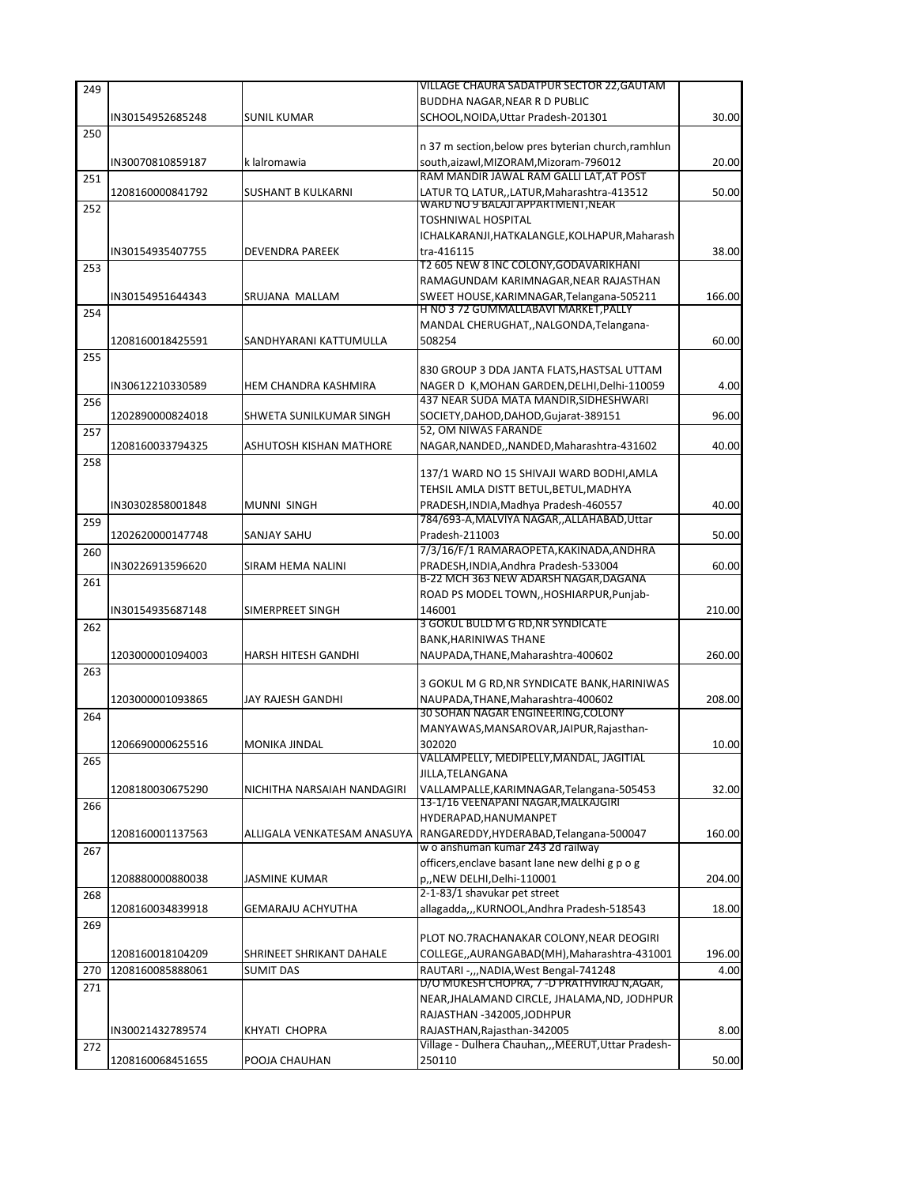| 249 |                  |                             | VILLAGE CHAURA SADATPUR SECTOR 22,GAUTAM                                 |        |
|-----|------------------|-----------------------------|--------------------------------------------------------------------------|--------|
|     |                  |                             | BUDDHA NAGAR, NEAR R D PUBLIC                                            |        |
|     | IN30154952685248 | <b>SUNIL KUMAR</b>          | SCHOOL, NOIDA, Uttar Pradesh-201301                                      | 30.00  |
| 250 |                  |                             |                                                                          |        |
|     |                  |                             | n 37 m section, below pres byterian church, ramhlun                      |        |
|     | IN30070810859187 | k lalromawia                | south,aizawl, MIZORAM, Mizoram-796012                                    | 20.00  |
| 251 |                  |                             | RAM MANDIR JAWAL RAM GALLI LAT, AT POST                                  |        |
|     | 1208160000841792 | <b>SUSHANT B KULKARNI</b>   | LATUR TQ LATUR,,LATUR,Maharashtra-413512                                 | 50.00  |
| 252 |                  |                             | WARD NO 9 BALAJI APPARTMENT, NEAR                                        |        |
|     |                  |                             | <b>TOSHNIWAL HOSPITAL</b>                                                |        |
|     |                  |                             | ICHALKARANJI, HATKALANGLE, KOLHAPUR, Maharash                            |        |
|     | IN30154935407755 | DEVENDRA PAREEK             | tra-416115<br>T2 605 NEW 8 INC COLONY, GODAVARIKHANI                     | 38.00  |
| 253 |                  |                             | RAMAGUNDAM KARIMNAGAR, NEAR RAJASTHAN                                    |        |
|     | IN30154951644343 | SRUJANA MALLAM              | SWEET HOUSE, KARIMNAGAR, Telangana-505211                                | 166.00 |
|     |                  |                             | <u>H NO 3 72 GUMMALLABAVI MARKET,PALLY</u>                               |        |
| 254 |                  |                             | MANDAL CHERUGHAT, NALGONDA, Telangana-                                   |        |
|     | 1208160018425591 | SANDHYARANI KATTUMULLA      | 508254                                                                   | 60.00  |
| 255 |                  |                             |                                                                          |        |
|     |                  |                             | 830 GROUP 3 DDA JANTA FLATS, HASTSAL UTTAM                               |        |
|     | IN30612210330589 | HEM CHANDRA KASHMIRA        | NAGER D K, MOHAN GARDEN, DELHI, Delhi-110059                             | 4.00   |
| 256 |                  |                             | 437 NEAR SUDA MATA MANDIR, SIDHESHWARI                                   |        |
|     | 1202890000824018 | SHWETA SUNILKUMAR SINGH     | SOCIETY, DAHOD, DAHOD, Gujarat-389151                                    | 96.00  |
| 257 |                  |                             | 52, OM NIWAS FARANDE                                                     |        |
|     | 1208160033794325 | ASHUTOSH KISHAN MATHORE     | NAGAR, NANDED, , NANDED, Maharashtra-431602                              | 40.00  |
| 258 |                  |                             |                                                                          |        |
|     |                  |                             | 137/1 WARD NO 15 SHIVAJI WARD BODHI, AMLA                                |        |
|     |                  |                             | TEHSIL AMLA DISTT BETUL, BETUL, MADHYA                                   |        |
|     | IN30302858001848 | MUNNI SINGH                 | PRADESH, INDIA, Madhya Pradesh-460557                                    | 40.00  |
| 259 |                  |                             | 784/693-A, MALVIYA NAGAR, , ALLAHABAD, Uttar                             |        |
|     | 1202620000147748 | SANJAY SAHU                 | Pradesh-211003                                                           | 50.00  |
| 260 |                  |                             | 7/3/16/F/1 RAMARAOPETA, KAKINADA, ANDHRA                                 |        |
|     | IN30226913596620 | SIRAM HEMA NALINI           | PRADESH, INDIA, Andhra Pradesh-533004                                    | 60.00  |
| 261 |                  |                             | B-22 MCH 363 NEW ADARSH NAGAR, DAGANA                                    |        |
|     |                  |                             | ROAD PS MODEL TOWN, HOSHIARPUR, Punjab-                                  |        |
|     | IN30154935687148 | SIMERPREET SINGH            | 146001                                                                   | 210.00 |
| 262 |                  |                             | 3 GOKUL BULD M G RD,NR SYNDICATE                                         |        |
|     |                  |                             | <b>BANK, HARINIWAS THANE</b>                                             |        |
|     | 1203000001094003 | <b>HARSH HITESH GANDHI</b>  | NAUPADA, THANE, Maharashtra-400602                                       | 260.00 |
| 263 |                  |                             |                                                                          |        |
|     |                  |                             | 3 GOKUL M G RD,NR SYNDICATE BANK,HARINIWAS                               |        |
|     | 1203000001093865 | JAY RAJESH GANDHI           | NAUPADA, THANE, Maharashtra-400602<br>30 SOHAN NAGAR ENGINEERING, COLONY | 208.00 |
| 264 |                  |                             | MANYAWAS, MANSAROVAR, JAIPUR, Rajasthan-                                 |        |
|     |                  |                             |                                                                          | 10.00  |
|     | 1206690000625516 | <b>MONIKA JINDAL</b>        | 302020<br>VALLAMPELLY, MEDIPELLY,MANDAL, JAGITIAL                        |        |
| 265 |                  |                             | JILLA, TELANGANA                                                         |        |
|     | 1208180030675290 | NICHITHA NARSAIAH NANDAGIRI | VALLAMPALLE, KARIMNAGAR, Telangana-505453                                | 32.00  |
| 266 |                  |                             | 13-1/16 VEENAPANI NAGAR, MALKAJGIRI                                      |        |
|     |                  |                             | HYDERAPAD, HANUMANPET                                                    |        |
|     | 1208160001137563 | ALLIGALA VENKATESAM ANASUYA | RANGAREDDY, HYDERABAD, Telangana-500047                                  | 160.00 |
| 267 |                  |                             | w o anshuman kumar 243 2d railway                                        |        |
|     |                  |                             | officers, enclave basant lane new delhi g p o g                          |        |
|     | 1208880000880038 | JASMINE KUMAR               | p,,NEW DELHI,Delhi-110001                                                | 204.00 |
| 268 |                  |                             | 2-1-83/1 shavukar pet street                                             |        |
|     | 1208160034839918 | GEMARAJU ACHYUTHA           | allagadda,,,KURNOOL,Andhra Pradesh-518543                                | 18.00  |
| 269 |                  |                             |                                                                          |        |
|     |                  |                             | PLOT NO.7RACHANAKAR COLONY, NEAR DEOGIRI                                 |        |
|     | 1208160018104209 | SHRINEET SHRIKANT DAHALE    | COLLEGE,,AURANGABAD(MH),Maharashtra-431001                               | 196.00 |
| 270 | 1208160085888061 | <b>SUMIT DAS</b>            | RAUTARI -,,,NADIA, West Bengal-741248                                    | 4.00   |
|     |                  |                             |                                                                          |        |
| 271 |                  |                             | D/O MUKESH CHOPRA, 7 -D PRATHVIRAJ N,AGAR,                               |        |
|     |                  |                             | NEAR, JHALAMAND CIRCLE, JHALAMA, ND, JODHPUR                             |        |
|     |                  |                             | RAJASTHAN -342005,JODHPUR                                                |        |
|     | IN30021432789574 | KHYATI CHOPRA               | RAJASTHAN, Rajasthan-342005                                              | 8.00   |
| 272 |                  |                             | Village - Dulhera Chauhan,,,MEERUT,Uttar Pradesh-<br>250110              | 50.00  |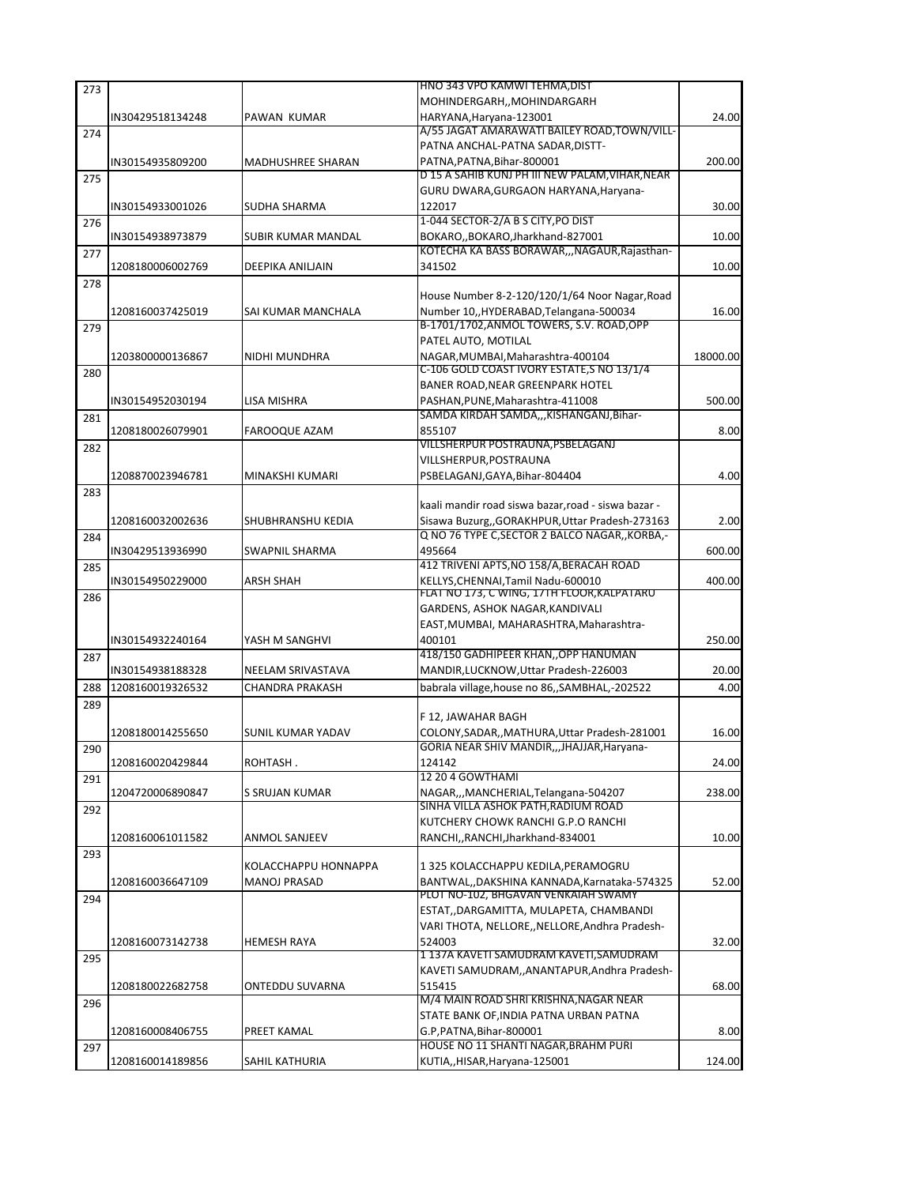| 273 |                  |                           | HNO 343 VPO KAMWI TEHMA, DIST                                                               |          |
|-----|------------------|---------------------------|---------------------------------------------------------------------------------------------|----------|
|     |                  |                           | MOHINDERGARH,, MOHINDARGARH                                                                 |          |
|     | IN30429518134248 | PAWAN KUMAR               | HARYANA, Haryana-123001                                                                     | 24.00    |
| 274 |                  |                           | A/55 JAGAT AMARAWATI BAILEY ROAD, TOWN/VILL-                                                |          |
|     |                  |                           | PATNA ANCHAL-PATNA SADAR, DISTT-                                                            |          |
|     | IN30154935809200 | MADHUSHREE SHARAN         | PATNA, PATNA, Bihar-800001                                                                  | 200.00   |
| 275 |                  |                           | D 15 A SAHIB KUNJ PH III NEW PALAM, VIHAR, NEAR                                             |          |
|     |                  |                           | GURU DWARA, GURGAON HARYANA, Haryana-                                                       |          |
|     | IN30154933001026 | <b>SUDHA SHARMA</b>       | 122017                                                                                      | 30.00    |
| 276 |                  |                           | 1-044 SECTOR-2/A B S CITY, PO DIST                                                          |          |
|     | IN30154938973879 | <b>SUBIR KUMAR MANDAL</b> | BOKARO,, BOKARO, Jharkhand-827001<br>KOTECHA KA BASS BORAWAR,,,NAGAUR,Rajasthan-            | 10.00    |
| 277 |                  |                           | 341502                                                                                      |          |
|     | 1208180006002769 | DEEPIKA ANILJAIN          |                                                                                             | 10.00    |
| 278 |                  |                           | House Number 8-2-120/120/1/64 Noor Nagar, Road                                              |          |
|     | 1208160037425019 | SAI KUMAR MANCHALA        | Number 10, HYDERABAD, Telangana-500034                                                      | 16.00    |
|     |                  |                           | B-1701/1702, ANMOL TOWERS, S.V. ROAD, OPP                                                   |          |
| 279 |                  |                           | PATEL AUTO, MOTILAL                                                                         |          |
|     | 1203800000136867 | NIDHI MUNDHRA             | NAGAR, MUMBAI, Maharashtra-400104                                                           | 18000.00 |
| 280 |                  |                           | C-106 GOLD COAST IVORY ESTATE, S NO 13/1/4                                                  |          |
|     |                  |                           | BANER ROAD, NEAR GREENPARK HOTEL                                                            |          |
|     | IN30154952030194 | LISA MISHRA               | PASHAN, PUNE, Maharashtra-411008                                                            | 500.00   |
| 281 |                  |                           | SAMDA KIRDAH SAMDA,,,KISHANGANJ,Bihar-                                                      |          |
|     | 1208180026079901 | <b>FAROOQUE AZAM</b>      | 855107                                                                                      | 8.00     |
| 282 |                  |                           | VILLSHERPUR POSTRAUNA, PSBELAGANJ                                                           |          |
|     |                  |                           | VILLSHERPUR, POSTRAUNA                                                                      |          |
|     | 1208870023946781 | <b>MINAKSHI KUMARI</b>    | PSBELAGANJ, GAYA, Bihar-804404                                                              | 4.00     |
| 283 |                  |                           |                                                                                             |          |
|     |                  |                           | kaali mandir road siswa bazar, road - siswa bazar -                                         |          |
|     | 1208160032002636 | <b>SHUBHRANSHU KEDIA</b>  | Sisawa Buzurg,,GORAKHPUR,Uttar Pradesh-273163                                               | 2.00     |
| 284 |                  |                           | Q NO 76 TYPE C, SECTOR 2 BALCO NAGAR, , KORBA, -                                            |          |
|     | IN30429513936990 | SWAPNIL SHARMA            | 495664                                                                                      | 600.00   |
| 285 |                  |                           | 412 TRIVENI APTS, NO 158/A, BERACAH ROAD                                                    |          |
|     | IN30154950229000 | <b>ARSH SHAH</b>          | KELLYS, CHENNAI, Tamil Nadu-600010                                                          | 400.00   |
| 286 |                  |                           | FLAT NO 173, C WING, 17TH FLOOR, KALPATARU                                                  |          |
|     |                  |                           | GARDENS, ASHOK NAGAR, KANDIVALI                                                             |          |
|     |                  |                           | EAST, MUMBAI, MAHARASHTRA, Maharashtra-                                                     |          |
|     | IN30154932240164 | YASH M SANGHVI            | 400101                                                                                      | 250.00   |
| 287 |                  |                           | 418/150 GADHIPEER KHAN,, OPP HANUMAN                                                        |          |
|     | IN30154938188328 | NEELAM SRIVASTAVA         | MANDIR, LUCKNOW, Uttar Pradesh-226003                                                       | 20.00    |
| 288 | 1208160019326532 | <b>CHANDRA PRAKASH</b>    | babrala village, house no 86,, SAMBHAL, -202522                                             | 4.00     |
| 289 |                  |                           | F 12, JAWAHAR BAGH                                                                          |          |
|     |                  |                           |                                                                                             | 16.00    |
|     | 1208180014255650 | <b>SUNIL KUMAR YADAV</b>  | COLONY, SADAR,, MATHURA, Uttar Pradesh-281001<br>GORIA NEAR SHIV MANDIR,,,JHAJJAR, Haryana- |          |
| 290 | 1208160020429844 | ROHTASH.                  | 124142                                                                                      | 24.00    |
|     |                  |                           | 12 20 4 GOWTHAMI                                                                            |          |
| 291 | 1204720006890847 | S SRUJAN KUMAR            | NAGAR,,,MANCHERIAL,Telangana-504207                                                         | 238.00   |
| 292 |                  |                           | SINHA VILLA ASHOK PATH, RADIUM ROAD                                                         |          |
|     |                  |                           | KUTCHERY CHOWK RANCHI G.P.O RANCHI                                                          |          |
|     | 1208160061011582 | <b>ANMOL SANJEEV</b>      | RANCHI,, RANCHI, Jharkhand-834001                                                           | 10.00    |
| 293 |                  |                           |                                                                                             |          |
|     |                  | KOLACCHAPPU HONNAPPA      | 1 325 KOLACCHAPPU KEDILA, PERAMOGRU                                                         |          |
|     | 1208160036647109 | <b>MANOJ PRASAD</b>       | BANTWAL,,DAKSHINA KANNADA,Karnataka-574325                                                  | 52.00    |
| 294 |                  |                           | PLOT NO-102, BHGAVAN VENKAIAH SWAMY                                                         |          |
|     |                  |                           | ESTAT,,DARGAMITTA, MULAPETA, CHAMBANDI                                                      |          |
|     |                  |                           | VARI THOTA, NELLORE,, NELLORE, Andhra Pradesh-                                              |          |
|     | 1208160073142738 | <b>HEMESH RAYA</b>        | 524003                                                                                      | 32.00    |
| 295 |                  |                           | 1 137A KAVETI SAMUDRAM KAVETI, SAMUDRAM                                                     |          |
|     |                  |                           | KAVETI SAMUDRAM,,ANANTAPUR,Andhra Pradesh-                                                  |          |
|     | 1208180022682758 | ONTEDDU SUVARNA           | 515415                                                                                      | 68.00    |
| 296 |                  |                           | M/4 MAIN ROAD SHRI KRISHNA,NAGAR NEAR                                                       |          |
|     |                  |                           | STATE BANK OF, INDIA PATNA URBAN PATNA                                                      |          |
|     | 1208160008406755 | PREET KAMAL               | G.P,PATNA,Bihar-800001                                                                      | 8.00     |
| 297 |                  |                           | HOUSE NO 11 SHANTI NAGAR, BRAHM PURI                                                        |          |
|     | 1208160014189856 | SAHIL KATHURIA            | KUTIA,, HISAR, Haryana-125001                                                               | 124.00   |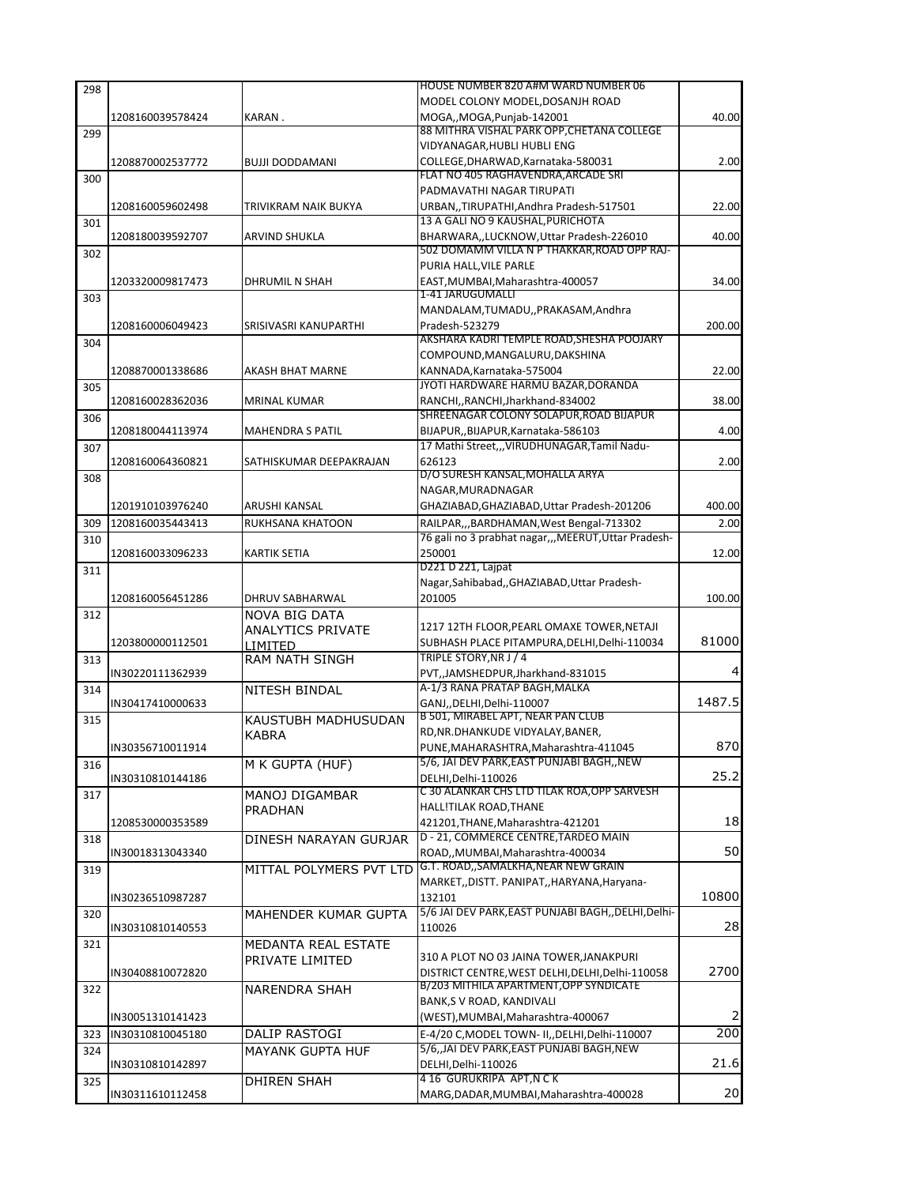|     |                  |                          | HOUSE NUMBER 820 A#M WARD NUMBER 06                                       |        |
|-----|------------------|--------------------------|---------------------------------------------------------------------------|--------|
|     |                  |                          | MODEL COLONY MODEL, DOSANJH ROAD                                          |        |
|     | 1208160039578424 | KARAN.                   | MOGA,, MOGA, Punjab-142001                                                | 40.00  |
| 299 |                  |                          | 88 MITHRA VISHAL PARK OPP,CHETANA COLLEGE                                 |        |
|     |                  |                          | VIDYANAGAR, HUBLI HUBLI ENG                                               |        |
|     | 1208870002537772 | <b>BUJJI DODDAMANI</b>   | COLLEGE.DHARWAD.Karnataka-580031<br>FLAT NO 405 RAGHAVENDRA, ARCADE SRI   | 2.00   |
| 300 |                  |                          | PADMAVATHI NAGAR TIRUPATI                                                 |        |
|     | 1208160059602498 | TRIVIKRAM NAIK BUKYA     | URBAN,,TIRUPATHI,Andhra Pradesh-517501                                    | 22.00  |
| 301 |                  |                          | 13 A GALI NO 9 KAUSHAL, PURICHOTA                                         |        |
|     | 1208180039592707 | ARVIND SHUKLA            | BHARWARA,,LUCKNOW,Uttar Pradesh-226010                                    | 40.00  |
| 302 |                  |                          | 502 DOMAMM VILLA N P THAKKAR,ROAD OPP RAJ-                                |        |
|     |                  |                          | PURIA HALL, VILE PARLE                                                    |        |
|     | 1203320009817473 | DHRUMIL N SHAH           | EAST, MUMBAI, Maharashtra-400057                                          | 34.00  |
| 303 |                  |                          | 1-41 JARUGUMALLI                                                          |        |
|     |                  |                          | MANDALAM, TUMADU,, PRAKASAM, Andhra                                       |        |
|     | 1208160006049423 | SRISIVASRI KANUPARTHI    | Pradesh-523279                                                            | 200.00 |
| 304 |                  |                          | AKSHARA KADRI TEMPLE ROAD,SHESHA POOJARY<br>COMPOUND, MANGALURU, DAKSHINA |        |
|     | 1208870001338686 | AKASH BHAT MARNE         | KANNADA, Karnataka-575004                                                 | 22.00  |
| 305 |                  |                          | JYOTI HARDWARE HARMU BAZAR, DORANDA                                       |        |
|     | 1208160028362036 | <b>MRINAL KUMAR</b>      | RANCHI,, RANCHI, Jharkhand-834002                                         | 38.00  |
| 306 |                  |                          | SHREENAGAR COLONY SOLAPUR, ROAD BIJAPUR                                   |        |
|     | 1208180044113974 | <b>MAHENDRA S PATIL</b>  | BIJAPUR, BIJAPUR, Karnataka-586103                                        | 4.00   |
| 307 |                  |                          | 17 Mathi Street,,,VIRUDHUNAGAR,Tamil Nadu-                                |        |
|     | 1208160064360821 | SATHISKUMAR DEEPAKRAJAN  | 626123                                                                    | 2.00   |
| 308 |                  |                          | D/O SURESH KANSAL, MOHALLA ARYA                                           |        |
|     |                  |                          | NAGAR, MURADNAGAR                                                         |        |
|     | 1201910103976240 | ARUSHI KANSAL            | GHAZIABAD, GHAZIABAD, Uttar Pradesh-201206                                | 400.00 |
| 309 | 1208160035443413 | RUKHSANA KHATOON         | RAILPAR, ,, BARDHAMAN, West Bengal-713302                                 | 2.00   |
| 310 |                  |                          | 76 gali no 3 prabhat nagar,,,MEERUT,Uttar Pradesh-                        |        |
|     | 1208160033096233 | KARTIK SETIA             | 250001                                                                    | 12.00  |
| 311 |                  |                          | D221 D 221, Lajpat                                                        |        |
|     |                  |                          | Nagar, Sahibabad, , GHAZIABAD, Uttar Pradesh-                             |        |
|     | 1208160056451286 | DHRUV SABHARWAL          | 201005                                                                    | 100.00 |
| 312 |                  | NOVA BIG DATA            | 1217 12TH FLOOR, PEARL OMAXE TOWER, NETAJI                                |        |
|     |                  | <b>ANALYTICS PRIVATE</b> |                                                                           |        |
|     |                  |                          |                                                                           |        |
|     | 1203800000112501 | LIMITED                  | SUBHASH PLACE PITAMPURA, DELHI, Delhi-110034                              | 81000  |
| 313 |                  | <b>RAM NATH SINGH</b>    | TRIPLE STORY, NR J / 4                                                    | 4      |
| 314 | IN30220111362939 |                          | PVT,,JAMSHEDPUR,Jharkhand-831015<br>A-1/3 RANA PRATAP BAGH, MALKA         |        |
|     | IN30417410000633 | NITESH BINDAL            | GANJ,, DELHI, Delhi-110007                                                | 1487.5 |
| 315 |                  | KAUSTUBH MADHUSUDAN      | B 501, MIRABEL APT, NEAR PAN CLUB                                         |        |
|     |                  | KABRA                    | RD, NR. DHANKUDE VIDYALAY, BANER,                                         |        |
|     | IN30356710011914 |                          | PUNE.MAHARASHTRA.Maharashtra-411045                                       |        |
| 316 |                  | M K GUPTA (HUF)          | 5/6, JAI DEV PARK, EAST PUNJABI BAGH, , NEW                               | 870    |
|     | IN30310810144186 |                          | DELHI.Delhi-110026                                                        | 25.2   |
| 317 |                  | MANOJ DIGAMBAR           | C 30 ALANKAR CHS LTD TILAK ROA, OPP SARVESH                               |        |
|     |                  | PRADHAN                  | HALL!TILAK ROAD, THANE                                                    |        |
|     | 1208530000353589 |                          | 421201, THANE, Maharashtra-421201                                         | 18     |
| 318 |                  | DINESH NARAYAN GURJAR    | D - 21, COMMERCE CENTRE, TARDEO MAIN                                      | 50     |
|     | IN30018313043340 |                          | ROAD,,MUMBAI,Maharashtra-400034<br>G.T. ROAD, SAMALKHA, NEAR NEW GRAIN    |        |
| 319 |                  | MITTAL POLYMERS PVT LTD  | MARKET, , DISTT. PANIPAT, , HARYANA, Haryana-                             |        |
|     | IN30236510987287 |                          | 132101                                                                    | 10800  |
| 320 |                  | MAHENDER KUMAR GUPTA     | 5/6 JAI DEV PARK, EAST PUNJABI BAGH, , DELHI, Delhi-                      |        |
|     | IN30310810140553 |                          | 110026                                                                    | 28     |
| 321 |                  | MEDANTA REAL ESTATE      |                                                                           |        |
|     |                  | PRIVATE LIMITED          | 310 A PLOT NO 03 JAINA TOWER, JANAKPURI                                   |        |
|     | IN30408810072820 |                          | DISTRICT CENTRE, WEST DELHI, DELHI, Delhi-110058                          |        |
| 322 |                  | <b>NARENDRA SHAH</b>     | B/203 MITHILA APARTMENT, OPP SYNDICATE                                    |        |
|     |                  |                          | BANK, S V ROAD, KANDIVALI                                                 | 2700   |
|     | IN30051310141423 |                          | (WEST), MUMBAI, Maharashtra-400067                                        | 2      |
| 323 | IN30310810045180 | DALIP RASTOGI            | E-4/20 C, MODEL TOWN- II, , DELHI, Delhi-110007                           | 200    |
| 324 |                  | <b>MAYANK GUPTA HUF</b>  | 5/6, JAI DEV PARK, EAST PUNJABI BAGH, NEW                                 |        |
|     | IN30310810142897 |                          | DELHI, Delhi-110026                                                       | 21.6   |
| 325 | IN30311610112458 | <b>DHIREN SHAH</b>       | 4 16 GURUKRIPA APT, N C K<br>MARG, DADAR, MUMBAI, Maharashtra-400028      | 20     |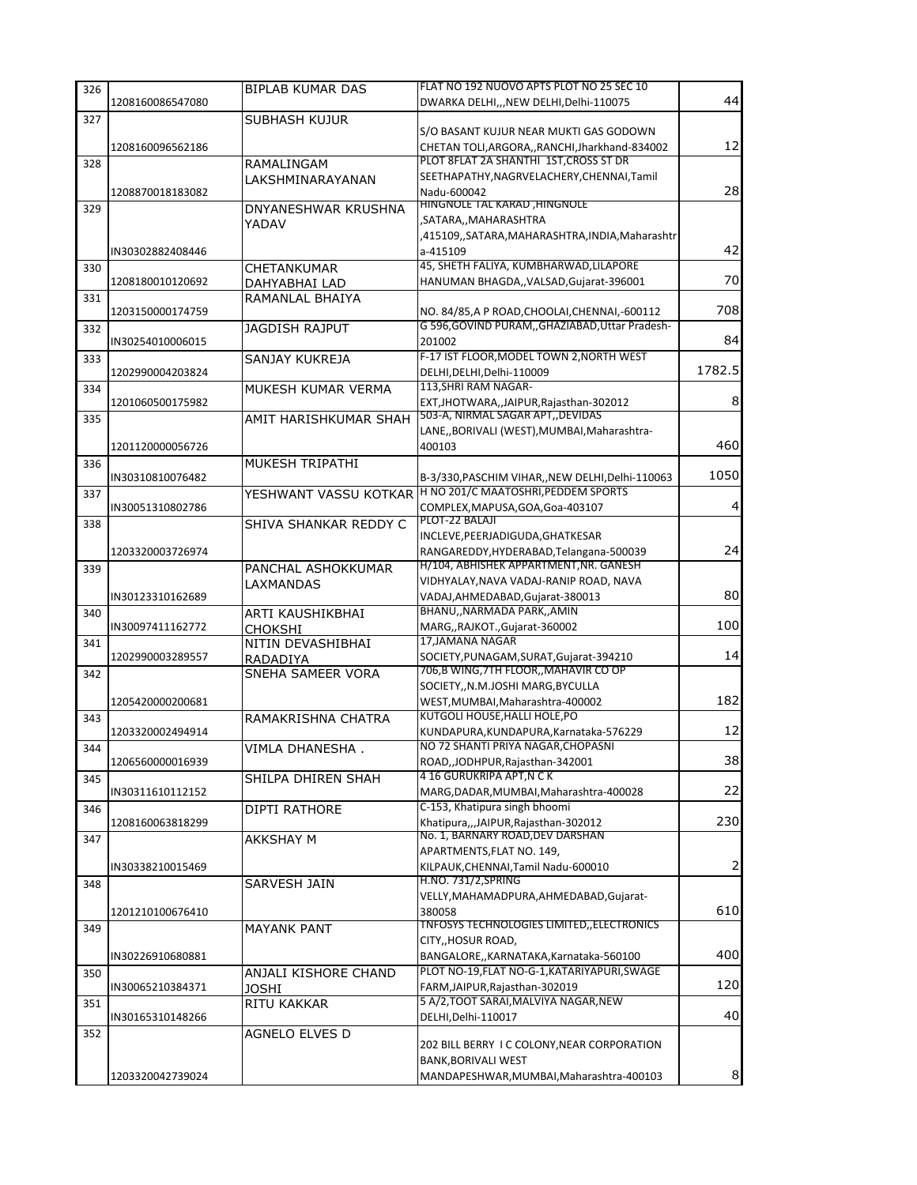| 326 |                  | <b>BIPLAB KUMAR DAS</b>   | FLAT NO 192 NUOVO APTS PLOT NO 25 SEC 10                                                         |        |
|-----|------------------|---------------------------|--------------------------------------------------------------------------------------------------|--------|
|     | 1208160086547080 |                           | DWARKA DELHI,,,NEW DELHI,Delhi-110075                                                            | 44     |
| 327 |                  | <b>SUBHASH KUJUR</b>      |                                                                                                  |        |
|     |                  |                           | S/O BASANT KUJUR NEAR MUKTI GAS GODOWN                                                           |        |
|     | 1208160096562186 |                           | CHETAN TOLI, ARGORA, , RANCHI, Jharkhand-834002                                                  | 12     |
| 328 |                  | RAMALINGAM                | PLOT 8FLAT 2A SHANTHI 1ST, CROSS ST DR                                                           |        |
|     |                  | LAKSHMINARAYANAN          | SEETHAPATHY, NAGRVELACHERY, CHENNAI, Tamil                                                       |        |
|     | 1208870018183082 |                           | Nadu-600042                                                                                      | 28     |
| 329 |                  | DNYANESHWAR KRUSHNA       | HINGNOLE TAL KARAD , HINGNOLE                                                                    |        |
|     |                  | YADAV                     | ,SATARA,,MAHARASHTRA                                                                             |        |
|     |                  |                           | ,415109,,SATARA,MAHARASHTRA,INDIA,Maharashtr                                                     |        |
|     | IN30302882408446 |                           | a-415109<br>45, SHETH FALIYA, KUMBHARWAD, LILAPORE                                               | 42     |
| 330 |                  | CHETANKUMAR               |                                                                                                  | 70     |
|     | 1208180010120692 | DAHYABHAI LAD             | HANUMAN BHAGDA,, VALSAD, Gujarat-396001                                                          |        |
| 331 |                  | RAMANLAL BHAIYA           |                                                                                                  | 708    |
|     | 1203150000174759 |                           | NO. 84/85, A P ROAD, CHOOLAI, CHENNAI, -600112<br>G 596, GOVIND PURAM, GHAZIABAD, Uttar Pradesh- |        |
| 332 | IN30254010006015 | <b>JAGDISH RAJPUT</b>     | 201002                                                                                           | 84     |
|     |                  |                           | F-17 IST FLOOR, MODEL TOWN 2, NORTH WEST                                                         |        |
| 333 | 1202990004203824 | SANJAY KUKREJA            | DELHI, DELHI, Delhi-110009                                                                       | 1782.5 |
| 334 |                  | MUKESH KUMAR VERMA        | 113, SHRI RAM NAGAR-                                                                             |        |
|     | 1201060500175982 |                           | EXT, JHOTWARA,, JAIPUR, Rajasthan-302012                                                         | 8      |
| 335 |                  | AMIT HARISHKUMAR SHAH     | 503-A, NIRMAL SAGAR APT, DEVIDAS                                                                 |        |
|     |                  |                           | LANE,, BORIVALI (WEST), MUMBAI, Maharashtra-                                                     |        |
|     | 1201120000056726 |                           | 400103                                                                                           | 460    |
| 336 |                  | MUKESH TRIPATHI           |                                                                                                  |        |
|     | IN30310810076482 |                           | B-3/330, PASCHIM VIHAR, , NEW DELHI, Delhi-110063                                                | 1050   |
| 337 |                  |                           | YESHWANT VASSU KOTKAR <sup>  H NO</sup> 201/C MAATOSHRI, PEDDEM SPORTS                           |        |
|     | IN30051310802786 |                           | COMPLEX, MAPUSA, GOA, Goa-403107                                                                 | 4      |
| 338 |                  | SHIVA SHANKAR REDDY C     | PLOT-22 BALAJI                                                                                   |        |
|     |                  |                           | INCLEVE, PEERJADIGUDA, GHATKESAR                                                                 |        |
|     | 1203320003726974 |                           | RANGAREDDY, HYDERABAD, Telangana-500039                                                          | 24     |
| 339 |                  | <b>PANCHAL ASHOKKUMAR</b> | H/104, ABHISHEK APPARTMENT, NR. GANESH                                                           |        |
|     |                  | LAXMANDAS                 | VIDHYALAY, NAVA VADAJ-RANIP ROAD, NAVA                                                           |        |
|     | IN30123310162689 |                           | VADAJ, AHMEDABAD, Gujarat-380013                                                                 | 80     |
| 340 |                  | ARTI KAUSHIKBHAI          | BHANU,, NARMADA PARK,, AMIN                                                                      |        |
|     | IN30097411162772 | CHOKSHI                   | MARG,, RAJKOT., Gujarat-360002                                                                   | 100    |
| 341 |                  | NITIN DEVASHIBHAI         | 17, JAMANA NAGAR                                                                                 |        |
|     | 1202990003289557 | RADADIYA                  | SOCIETY, PUNAGAM, SURAT, Gujarat-394210                                                          | 14     |
| 342 |                  | SNEHA SAMEER VORA         | 706,B WING, 7TH FLOOR,, MAHAVIR CO OP                                                            |        |
|     |                  |                           | SOCIETY,, N.M.JOSHI MARG, BYCULLA                                                                |        |
|     | 1205420000200681 |                           | WEST, MUMBAI, Maharashtra-400002                                                                 | 182    |
| 343 |                  | RAMAKRISHNA CHATRA        | <b>KUTGOLI HOUSE, HALLI HOLE, PO</b>                                                             |        |
|     | 1203320002494914 |                           | KUNDAPURA, KUNDAPURA, Karnataka-576229<br>NO 72 SHANTI PRIYA NAGAR, CHOPASNI                     | 12     |
| 344 |                  | VIMLA DHANESHA.           |                                                                                                  |        |
|     | 1206560000016939 |                           | ROAD, JODHPUR, Rajasthan-342001<br>4 16 GURUKRIPA APT, N C K                                     | 38     |
| 345 | IN30311610112152 | SHILPA DHIREN SHAH        | MARG, DADAR, MUMBAI, Maharashtra-400028                                                          | 22     |
|     |                  |                           | C-153, Khatipura singh bhoomi                                                                    |        |
| 346 | 1208160063818299 | DIPTI RATHORE             | Khatipura,,,JAIPUR,Rajasthan-302012                                                              | 230    |
| 347 |                  |                           | No. 1, BARNARY ROAD, DEV DARSHAN                                                                 |        |
|     |                  | AKKSHAY M                 | APARTMENTS, FLAT NO. 149,                                                                        |        |
|     | IN30338210015469 |                           | KILPAUK, CHENNAI, Tamil Nadu-600010                                                              | 2      |
| 348 |                  | SARVESH JAIN              | <b>H.NO. 731/2, SPRING</b>                                                                       |        |
|     |                  |                           | VELLY, MAHAMADPURA, AHMEDABAD, Gujarat-                                                          |        |
|     | 1201210100676410 |                           | 380058                                                                                           | 610    |
| 349 |                  | <b>MAYANK PANT</b>        | <b>TNFOSYS TECHNOLOGIES LIMITED,, ELECTRONICS</b>                                                |        |
|     |                  |                           | CITY,, HOSUR ROAD,                                                                               |        |
|     | IN30226910680881 |                           | BANGALORE,, KARNATAKA, Karnataka-560100                                                          | 400    |
| 350 |                  | ANJALI KISHORE CHAND      | PLOT NO-19, FLAT NO-G-1, KATARIYAPURI, SWAGE                                                     |        |
|     | IN30065210384371 | JOSHI                     | FARM, JAIPUR, Rajasthan-302019                                                                   | 120    |
| 351 |                  | RITU KAKKAR               | 5 A/2, TOOT SARAI, MALVIYA NAGAR, NEW                                                            |        |
|     | IN30165310148266 |                           | DELHI, Delhi-110017                                                                              | 40     |
| 352 |                  | AGNELO ELVES D            |                                                                                                  |        |
|     |                  |                           | 202 BILL BERRY I C COLONY, NEAR CORPORATION                                                      |        |
|     |                  |                           | BANK, BORIVALI WEST                                                                              |        |
|     | 1203320042739024 |                           | MANDAPESHWAR, MUMBAI, Maharashtra-400103                                                         | 8      |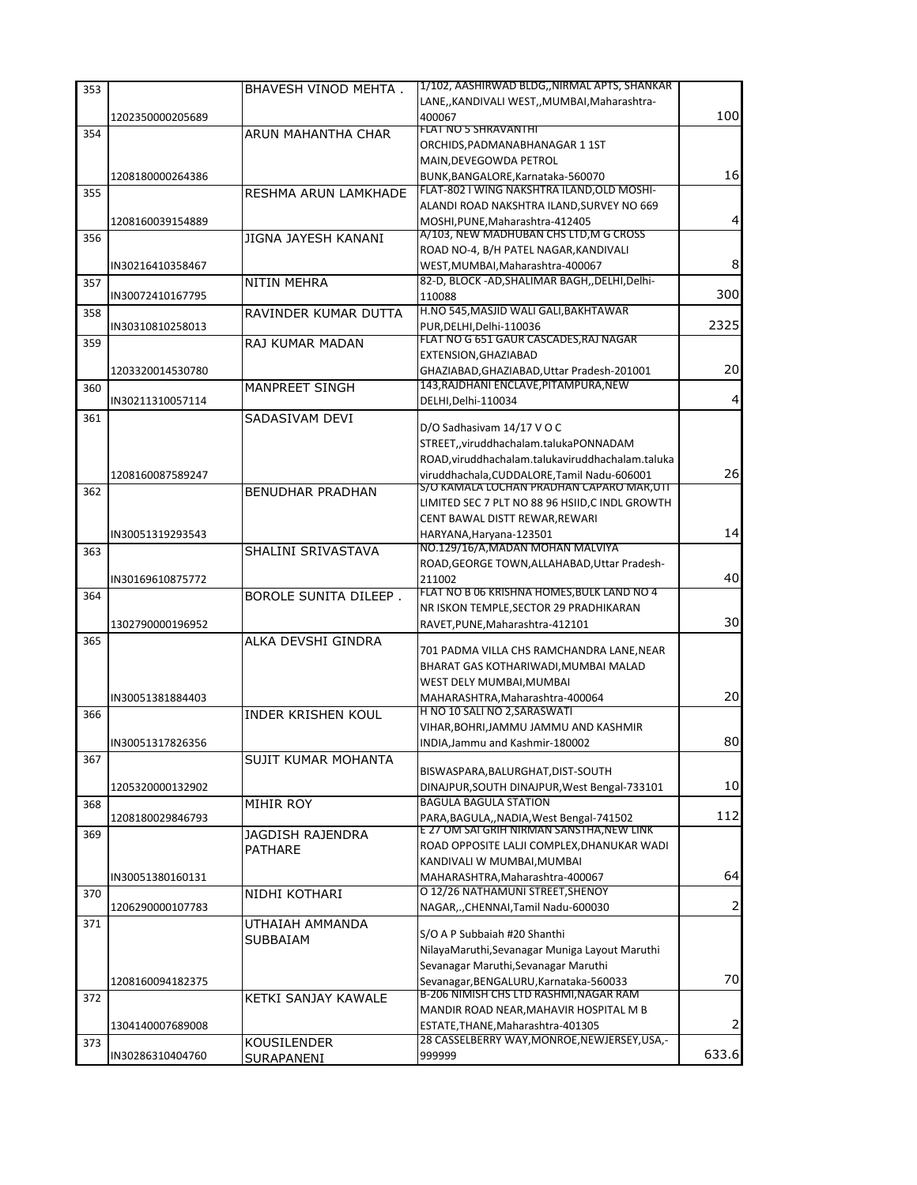| 353 |                  | BHAVESH VINOD MEHTA.         | 1/102, AASHIRWAD BLDG,, NIRMAL APTS, SHANKAR                                        |                |
|-----|------------------|------------------------------|-------------------------------------------------------------------------------------|----------------|
|     |                  |                              | LANE,, KANDIVALI WEST,, MUMBAI, Maharashtra-                                        |                |
|     | 1202350000205689 |                              | 400067                                                                              | 100            |
| 354 |                  | ARUN MAHANTHA CHAR           | FLAT NO 5 SHRAVANTHI                                                                |                |
|     |                  |                              | ORCHIDS, PADMANABHANAGAR 1 1ST                                                      |                |
|     |                  |                              | MAIN, DEVEGOWDA PETROL                                                              |                |
|     | 1208180000264386 |                              | BUNK, BANGALORE, Karnataka-560070                                                   | 16             |
| 355 |                  | RESHMA ARUN LAMKHADE         | FLAT-802 I WING NAKSHTRA ILAND, OLD MOSHI-                                          |                |
|     |                  |                              | ALANDI ROAD NAKSHTRA ILAND, SURVEY NO 669                                           |                |
|     | 1208160039154889 |                              | MOSHI, PUNE, Maharashtra-412405                                                     | 4              |
| 356 |                  | JIGNA JAYESH KANANI          | A/103, NEW MADHUBAN CHS LTD, M G CROSS                                              |                |
|     |                  |                              | ROAD NO-4, B/H PATEL NAGAR, KANDIVALI                                               |                |
|     | IN30216410358467 |                              | WEST, MUMBAI, Maharashtra-400067                                                    | 8              |
| 357 |                  | NITIN MEHRA                  | 82-D, BLOCK -AD, SHALIMAR BAGH, , DELHI, Delhi-                                     |                |
|     | IN30072410167795 |                              | 110088                                                                              | 300            |
| 358 |                  | RAVINDER KUMAR DUTTA         | H.NO 545, MASJID WALI GALI, BAKHTAWAR                                               | 2325           |
|     | IN30310810258013 |                              | PUR, DELHI, Delhi-110036<br>FLAT NO G 651 GAUR CASCADES, RAJ NAGAR                  |                |
| 359 |                  | RAJ KUMAR MADAN              | EXTENSION, GHAZIABAD                                                                |                |
|     | 1203320014530780 |                              |                                                                                     | 20             |
|     |                  |                              | GHAZIABAD, GHAZIABAD, Uttar Pradesh-201001<br>143, RAJDHANI ENCLAVE, PITAMPURA, NEW |                |
| 360 |                  | MANPREET SINGH               |                                                                                     | 4              |
|     | IN30211310057114 |                              | DELHI, Delhi-110034                                                                 |                |
| 361 |                  | SADASIVAM DEVI               | D/O Sadhasivam 14/17 V O C                                                          |                |
|     |                  |                              | STREET,, viruddhachalam.talukaPONNADAM                                              |                |
|     |                  |                              | ROAD, viruddhachalam.talukaviruddhachalam.taluka                                    |                |
|     | 1208160087589247 |                              | viruddhachala.CUDDALORE.Tamil Nadu-606001                                           | 26             |
| 362 |                  | <b>BENUDHAR PRADHAN</b>      | S/O KAMALA LOCHAN PRADHAN CAPARO MAR,UTI                                            |                |
|     |                  |                              | LIMITED SEC 7 PLT NO 88 96 HSIID, C INDL GROWTH                                     |                |
|     |                  |                              | CENT BAWAL DISTT REWAR, REWARI                                                      |                |
|     | IN30051319293543 |                              | HARYANA, Haryana-123501                                                             | 14             |
| 363 |                  | SHALINI SRIVASTAVA           | NO.129/16/A, MADAN MOHAN MALVIYA                                                    |                |
|     |                  |                              | ROAD, GEORGE TOWN, ALLAHABAD, Uttar Pradesh-                                        |                |
|     | IN30169610875772 |                              | 211002                                                                              | 40             |
| 364 |                  | <b>BOROLE SUNITA DILEEP.</b> | FLAT NO B 06 KRISHNA HOMES, BULK LAND NO 4                                          |                |
|     |                  |                              | NR ISKON TEMPLE, SECTOR 29 PRADHIKARAN                                              |                |
|     | 1302790000196952 |                              | RAVET, PUNE, Maharashtra-412101                                                     | 30             |
| 365 |                  | ALKA DEVSHI GINDRA           |                                                                                     |                |
|     |                  |                              | 701 PADMA VILLA CHS RAMCHANDRA LANE, NEAR                                           |                |
|     |                  |                              | BHARAT GAS KOTHARIWADI, MUMBAI MALAD                                                |                |
|     |                  |                              | WEST DELY MUMBAI, MUMBAI                                                            |                |
|     | IN30051381884403 |                              | MAHARASHTRA, Maharashtra-400064                                                     | 20             |
| 366 |                  | <b>INDER KRISHEN KOUL</b>    | H NO 10 SALI NO 2, SARASWATI                                                        |                |
|     |                  |                              | VIHAR, BOHRI, JAMMU JAMMU AND KASHMIR                                               | 80             |
|     | IN30051317826356 |                              | INDIA, Jammu and Kashmir-180002                                                     |                |
| 367 |                  | SUJIT KUMAR MOHANTA          | BISWASPARA, BALURGHAT, DIST-SOUTH                                                   |                |
|     | 1205320000132902 |                              | DINAJPUR, SOUTH DINAJPUR, West Bengal-733101                                        | 10             |
|     |                  |                              | <b>BAGULA BAGULA STATION</b>                                                        |                |
| 368 | 1208180029846793 | MIHIR ROY                    | PARA, BAGULA,, NADIA, West Bengal-741502                                            | 112            |
| 369 |                  | JAGDISH RAJENDRA             | E 27 OM SAI GRIH NIRMAN SANSTHA.NEW LINK                                            |                |
|     |                  | <b>PATHARE</b>               | ROAD OPPOSITE LALJI COMPLEX, DHANUKAR WADI                                          |                |
|     |                  |                              | KANDIVALI W MUMBAI, MUMBAI                                                          |                |
|     | IN30051380160131 |                              | MAHARASHTRA, Maharashtra-400067                                                     | 64             |
| 370 |                  | NIDHI KOTHARI                | O 12/26 NATHAMUNI STREET.SHENOY                                                     |                |
|     | 1206290000107783 |                              | NAGARCHENNAI, Tamil Nadu-600030                                                     | $\overline{2}$ |
| 371 |                  | UTHAIAH AMMANDA              |                                                                                     |                |
|     |                  | SUBBAIAM                     | S/O A P Subbaiah #20 Shanthi                                                        |                |
|     |                  |                              | NilayaMaruthi, Sevanagar Muniga Layout Maruthi                                      |                |
|     |                  |                              | Sevanagar Maruthi, Sevanagar Maruthi                                                |                |
|     | 1208160094182375 |                              | Sevanagar, BENGALURU, Karnataka-560033                                              | 70             |
| 372 |                  | KETKI SANJAY KAWALE          | B-206 NIMISH CHS LTD RASHMI, NAGAR RAM                                              |                |
|     |                  |                              | MANDIR ROAD NEAR, MAHAVIR HOSPITAL M B                                              |                |
|     | 1304140007689008 |                              | ESTATE, THANE, Maharashtra-401305                                                   | 2              |
| 373 |                  | KOUSILENDER                  | 28 CASSELBERRY WAY, MONROE, NEWJERSEY, USA,-                                        |                |
|     | IN30286310404760 | SURAPANENI                   | 999999                                                                              | 633.6          |